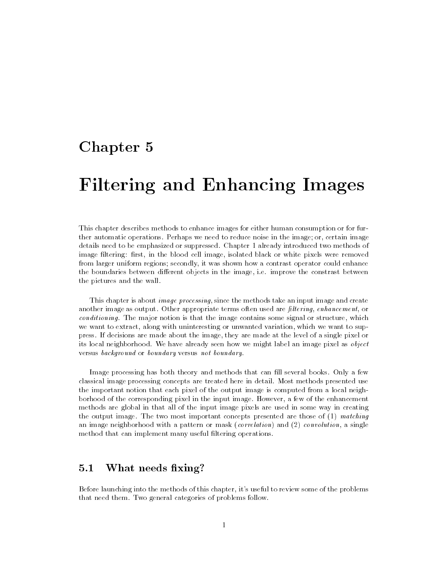# Chapter 5

# Filtering and Enhancing Images

This chapter describes methods to enhance images for either human consumption or for further automatic operations. Perhaps we need to reduce noise in the image; or, certain image details need to be emphasized or suppressed. Chapter 1 already introduced two methods of image filtering: first, in the blood cell image, isolated black or white pixels were removed from larger uniform regions; secondly, it was shown how a contrast operator could enhance the boundaries between different objects in the image, i.e. improve the constrast between the pictures and the wall.

This chapter is about *image processing*, since the methods take an input image and create another image as output. Other appropriate terms often used are *filtering*, enhancement, or conditioning. The major notion is that the image contains some signal or structure, which we want to extract, along with uninteresting or unwanted variation, which we want to suppress. If decisions are made about the image, they are made at the level of a single pixel or its local neighborhood. We have already seen how we might label an image pixel as object versus background or boundary versus not boundary.

Image processing has both theory and methods that can fill several books. Only a few classical image processing concepts are treated here in detail. Most methods presented use the important notion that each pixel of the output image is computed from a local neighborhood of the corresponding pixel in the input image. However, a few of the enhancement methods are global in that all of the input image pixels are used in some way in creating the output image. The two most important concepts presented are those of (1) matching an image neighborhood with a pattern or mask (correlation) and (2) convolution, a single method that can implement many useful filtering operations.

#### $5.1$ What needs fixing?

Before launching into the methods of this chapter, it's useful to review some of the problems that need them. Two general categories of problems follow.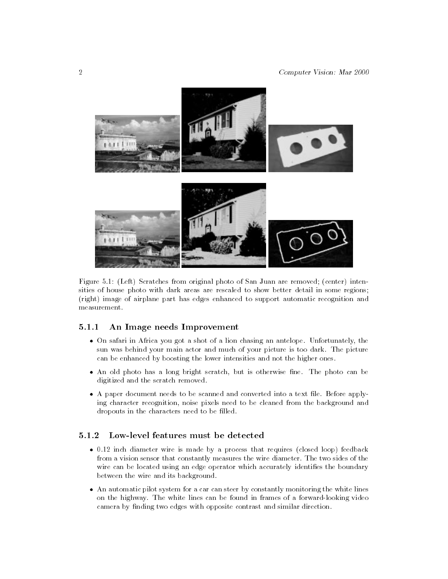

Figure 5.1: (Left) Scratches from original photo of San Juan are removed; (center) intensities of house photo with dark areas are rescaled to show better detail in some regions; (right) image of airplane part has edges enhanced to support automatic recognition and measurement

#### 5.1.1 An Image needs Improvement  $5.1.1$

- On safari in Africa you got a shot of a lion chasing an antelope. Unfortunately, the sun was behind your main actor and much of your picture is too dark. The picture can be enhanced by boosting the lower intensities and not the higher ones.
- An old photo has a long bright scratch, but is otherwise fine. The photo can be digitized and the scratch removed.
- A paper document needs to be scanned and converted into a text file. Before applying character recognition, noise pixels need to be cleaned from the background and dropouts in the characters need to be filled.

### Low-level features must be detected

- 0.12 inch diameter wire is made by a process that requires (closed loop) feedback from a vision sensor that constantly measures the wire diameter. The two sides of the wire can be located using an edge operator which accurately identifies the boundary between the wire and its background.
- An automatic pilot system for a car can steer by constantly monitoring the white lines on the highway. The white lines can be found in frames of a forward-looking video camera by finding two edges with opposite contrast and similar direction.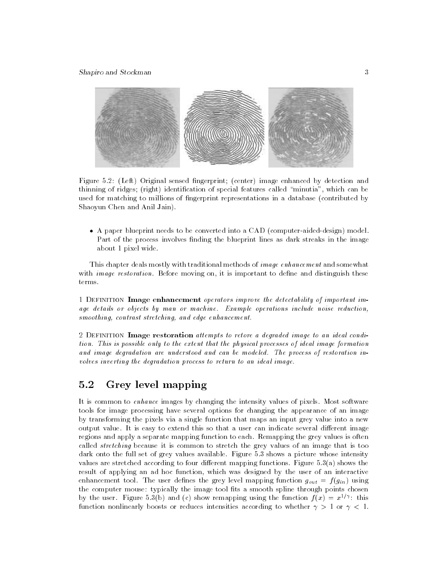

Figure 5.2: (Left) Original sensed fingerprint; (center) image enhanced by detection and thinning of ridges; (right) identification of special features called "minutia", which can be used for matching to millions of ngerprint representations in a database (contributed by Shaoyun Chen and Anil Jain).

 A paper blueprint needs to be converted into a CAD (computer-aided-design) model. Part of the process involves finding the blueprint lines as dark streaks in the image about 1 pixel wide.

This chapter deals mostly with traditional methods of image enhancement and somewhat with *image restoration*. Before moving on, it is important to define and distinguish these terms.

1 DEFINITION Image enhancement operators improve the detectability of important image details or objects by man or machine. Example operations include noise reduction, smoothing, contrast stretching, and edge enhancement.

2 DEFINITION Image restoration attempts to retore a degraded image to an ideal condition. This is possible only to the extent that the physical processes of ideal image formation and image degradation are understood and can be modeled. The process of restoration involves inverting the degradation process to return to an ideal image.

# 5.2 Grey level mapping

It is common to enhance images by changing the intensity values of pixels. Most software tools for image processing have several options for changing the appearance of an image by transforming the pixels via a single function that maps an input grey value into a new output value. It is easy to extend this so that a user can indicate several different image regions and apply a separate mapping function to each. Remapping the grey values is often called *stretching* because it is common to stretch the grey values of an image that is too dark onto the full set of grey values available. Figure 5.3 shows a picture whose intensity values are stretched according to four different mapping functions. Figure  $5.3(a)$  shows the result of applying an ad hoc function, which was designed by the user of an interactive enhancement tool. The user defines the grey level mapping function  $g_{out} = f(g_{in})$  using the computer mouse: typically the image tool fits a smooth spline through points chosen by the user. Figure 5.3(b) and (c) show remapping using the function  $f(x) = x^{1/\gamma}$ : this function nonlinearly boosts or reduces intensities according to whether  $\gamma > 1$  or  $\gamma < 1$ .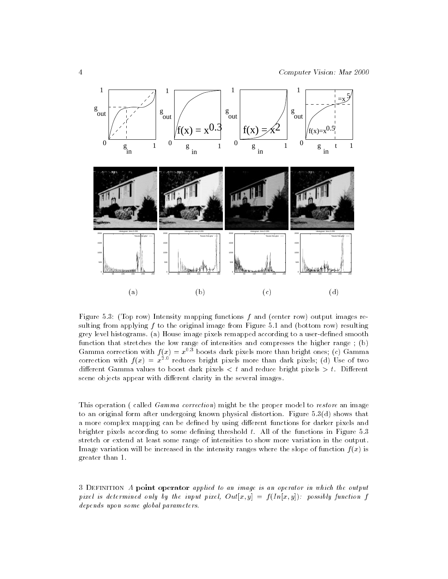

Figure 5.3: (Top row) Intensity mapping functions  $f$  and (center row) output images resulting from applying  $f$  to the original image from Figure 5.1 and (bottom row) resulting grey level histograms. (a) House image pixels remapped according to a user-dened smooth function that stretches the low range of intensities and compresses the higher range ; (b) Gamma correction with  $f(x) = x^{0.3}$  boosts dark pixels more than bright ones; (c) Gamma correction with  $f(x) = x^{++}$  reduces bright pixels more than dark pixels; (d) Use of two different Gamma values to boost dark pixels  $\lt t$  and reduce bright pixels  $>t$ . Different scene objects appear with different clarity in the several images.

This operation ( called *Gamma correction*) might be the proper model to *restore* an image to an original form after undergoing known physical distortion. Figure 5.3(d) shows that a more complex mapping can be defined by using different functions for darker pixels and brighter pixels according to some defining threshold  $t$ . All of the functions in Figure 5.3 stretch or extend at least some range of intensities to show more variation in the output. Image variation will be increased in the intensity ranges where the slope of function  $f(x)$  is greater than 1.

3 Definition A point operator applied to an image is an operator in which the output pixel is determined only by the input pixel,  $Out[x, y] = f(In[x, y])$ : possibly function f depends upon some global parameters.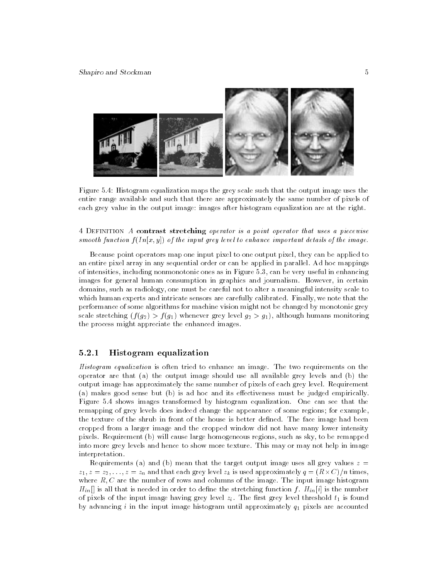

Figure 5.4: Histogram equalization maps the grey scale such that the output image uses the entire range available and such that there are approximately the same number of pixels of each grey value in the output image: images after histogram equalization are at the right.

4 DEFINITION A contrast stretching operator is a point operator that uses a piecewise smooth function  $f(In[x, y])$  of the input grey level to enhance important details of the image.

Because point operators map one input pixel to one output pixel, they can be applied to an entire pixel array in any sequential order or can be applied in parallel. Ad hoc mappings of intensities, including nonmonotonic ones as in Figure 5.3, can be very useful in enhancing images for general human consumption in graphics and journalism. However, in certain domains, such as radiology, one must be careful not to alter a meaningful intensity scale to which human experts and intricate sensors are carefully calibrated. Finally, we note that the performance of some algorithms for machine vision might not be changed by monotonic grey scale stretching  $(f(g_2) > f(g_1)$  whenever grey level  $g_2 > g_1$ , although humans monitoring the process might appreciate the enhanced images.

### 5.2.1 Histogram equalization

Histogram equalization is often tried to enhance an image. The two requirements on the operator are that (a) the output image should use all available grey levels and (b) the output image has approximately the same number of pixels of each grey level. Requirement (a) makes good sense but  $(b)$  is ad hoc and its effectiveness must be judged empirically. Figure 5.4 shows images transformed by histogram equalization. One can see that the remapping of grey levels does indeed change the appearance of some regions; for example, the texture of the shrub in front of the house is better defined. The face image had been cropped from a larger image and the cropped window did not have many lower intensity pixels. Requirement (b) will cause large homogeneous regions, such as sky, to be remapped into more grey levels and hence to show more texture. This may or may not help in image interpretation.

Requirements (a) and (b) mean that the target output image uses all grey values  $z =$  $z_1, z = z_2, \ldots, z = z_n$  and that each grey level  $z_k$  is used approximately  $q = (R \wedge C)/R$  times, where  $R, C$  are the number of rows and columns of the image. The input image histogram  $H_{in}$  is all that is needed in order to define the stretching function f.  $H_{in}[i]$  is the number of pixels of the input image having grey level  $z_i$ . The first grey level threshold  $t_1$  is found by advancing i in the input image histogram until approximately  $q_1$  pixels are accounted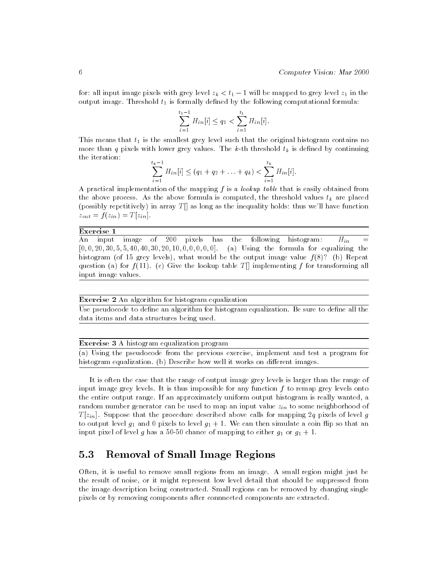for: all input image pixels with grey level  $z_k < t_1 - 1$  will be mapped to grey level  $z_1$  in the output image. Threshold  $t_1$  is formally defined by the following computational formula:

$$
\sum_{i=1}^{t_1-1} H_{in}[i] \le q_1 < \sum_{i=1}^{t_1} H_{in}[i].
$$

This means that  $t_1$  is the smallest grey level such that the original histogram contains no more than q pixels with lower grey values. The k-th threshold  $t_k$  is defined by continuing the iteration:  $\overline{t}$ 

$$
\sum_{i=1}^{t_k-1} H_{in}[i] \le (q_1+q_2+\ldots+q_k) < \sum_{i=1}^{t_k} H_{in}[i].
$$

A practical implementation of the mapping  $f$  is a *lookup table* that is easily obtained from the above process. As the above formula is computed, the threshold values  $t_k$  are placed (possibly repetitively) in array  $T[]$  as long as the inequality holds: thus we'll have function  $z_{out} = f(z_{in}) = T[z_{in}].$ 

### Exercise 1

An input image of 200 pixels has the following histogram:  $H_{in}$  $[0, 0, 20, 30, 5, 5, 40, 40, 30, 20, 10, 0, 0, 0, 0]$ . (a) Using the formula for equalizing the histogram (of 15 grey levels), what would be the output image value  $f(8)$ ? (b) Repeat question (a) for  $f(11)$ . (c) Give the lookup table T implementing f for transforming all input image values.

Exercise 2 An algorithm for histogram equalization

Use pseudocode to define an algorithm for histogram equalization. Be sure to define all the data items and data structures being used.

Exercise 3 A histogram equalization program

(a) Using the pseudocode from the previous exercise, implement and test a program for histogram equalization. (b) Describe how well it works on different images.

It is often the case that the range of output image grey levels is larger than the range of input image grey levels. It is thus impossible for any function  $f$  to remap grey levels onto the entire output range. If an approximately uniform output histogram is really wanted, a random number generator can be used to map an input value  $z_{in}$  to some neighborhood of T [zin]. Suppose that the procedure described above calls for mapping 2q pixels of level <sup>g</sup> to output level  $g_1$  and 0 pixels to level  $g_1 + 1$ . We can then simulate a coin flip so that an input pixel of level g has a 50-50 chance of mapping to either  $g_1$  or  $g_1 + 1$ .

# 5.3 Removal of Small Image Regions

Often, it is useful to remove small regions from an image. A small region might just be the result of noise, or it might represent low level detail that should be suppressed from the image description being constructed. Small regions can be removed by changing single pixels or by removing components after connnected components are extracted.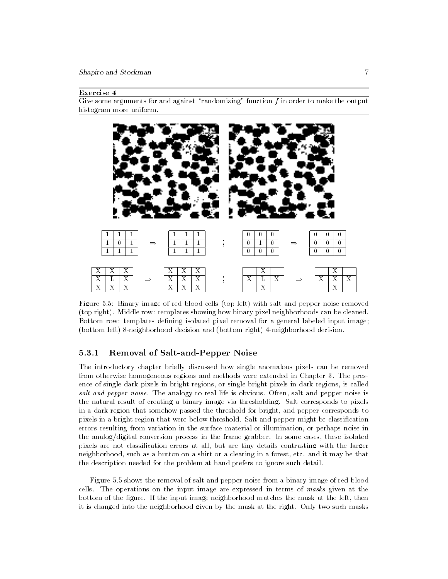Shapiro and Stockman 7

### Exercise 4

Give some arguments for and against "randomizing" function  $f$  in order to make the output histogram more uniform.



Figure 5.5: Binary image of red blood cells (top left) with salt and pepper noise removed (top right). Middle row: templates showing how binary pixel neighborhoods can be cleaned. Bottom row: templates defining isolated pixel removal for a general labeled input image; (bottom left) 8-neighborhood decision and (bottom right) 4-neighborhood decision.

### 5.3.1 Removal of Salt-and-Pepper Noise

The introductory chapter briefly discussed how single anomalous pixels can be removed from otherwise homogeneous regions and methods were extended in Chapter 3. The presence of single dark pixels in bright regions, or single bright pixels in dark regions, is called salt and pepper noise. The analogy to real life is obvious. Often, salt and pepper noise is the natural result of creating a binary image via thresholding. Salt corresponds to pixels in a dark region that somehow passed the threshold for bright, and pepper corresponds to pixels in a bright region that were below threshold. Salt and pepper might be classification errors resulting from variation in the surface material or illumination, or perhaps noise in the analog/digital conversion process in the frame grabber. In some cases, these isolated pixels are not classication errors at all, but are tiny details contrasting with the larger neighborhood, such as a button on a shirt or a clearing in a forest, etc. and it may be that the description needed for the problem at hand prefers to ignore such detail.

Figure 5.5 shows the removal of salt and pepper noise from a binary image of red blood cells. The operations on the input image are expressed in terms of masks given at the bottom of the figure. If the input image neighborhood matches the mask at the left, then it is changed into the neighborhood given by the mask at the right. Only two such masks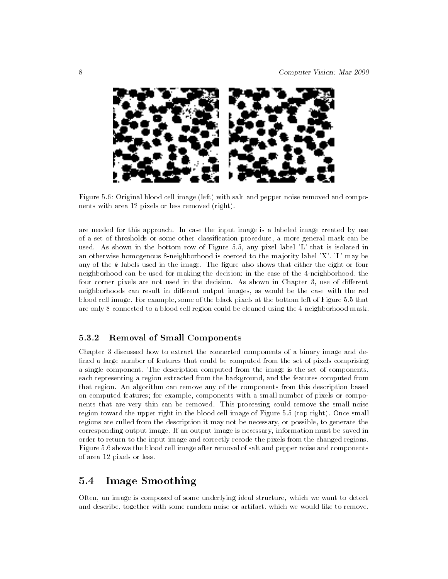

Figure 5.6: Original blood cell image (left) with salt and pepper noise removed and components with area 12 pixels or less removed (right).

are needed for this approach. In case the input image is a labeled image created by use of a set of thresholds or some other classification procedure, a more general mask can be used. As shown in the bottom row of Figure 5.5, any pixel label 'L' that is isolated in an otherwise homogenous 8-neighborhood is coerced to the majority label 'X'. 'L' may be any of the  $k$  labels used in the image. The figure also shows that either the eight or four neighborhood can be used for making the decision; in the case of the 4-neighborhood, the four corner pixels are not used in the decision. As shown in Chapter 3, use of different neighborhoods can result in different output images, as would be the case with the red blood cell image. For example, some of the black pixels at the bottom left of Figure 5.5 that are only 8-connected to a blood cell region could be cleaned using the 4-neighborhood mask.

## 5.3.2 Removal of Small Components

Chapter 3 discussed how to extract the connected components of a binary image and de fined a large number of features that could be computed from the set of pixels comprising a single component. The description computed from the image is the set of components, each representing a region extracted from the background, and the features computed from that region. An algorithm can remove any of the components from this description based on computed features; for example, components with a small number of pixels or components that are very thin can be removed. This processing could remove the small noise region toward the upper right in the blood cell image of Figure 5.5 (top right). Once small regions are culled from the description it may not be necessary, or possible, to generate the corresponding output image. If an output image is necessary, information must be saved in order to return to the input image and correctly recode the pixels from the changed regions. Figure 5.6 shows the blood cell image after removal of salt and pepper noise and components of area 12 pixels or less.

# 5.4 Image Smoothing

Often, an image is composed of some underlying ideal structure, which we want to detect and describe, together with some random noise or artifact, which we would like to remove.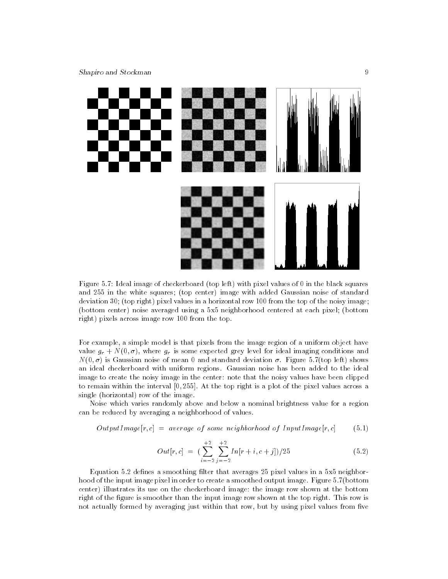

Figure 5.7: Ideal image of checkerboard (top left) with pixel values of 0 in the black squares and 255 in the white squares; (top center) image with added Gaussian noise of standard deviation 30; (top right) pixel values in a horizontal row 100 from the top of the noisy image; (bottom center) noise averaged using a 5x5 neighborhood centered at each pixel; (bottom right) pixels across image row 100 from the top.

For example, a simple model is that pixels from the image region of a uniform object have value  $g_r + N(0, \sigma)$ , where  $g_r$  is some expected grey level for ideal imaging conditions and  $N(0,\sigma)$  is Gaussian noise of mean 0 and standard deviation  $\sigma$ . Figure 5.7(top left) shows an ideal checkerboard with uniform regions. Gaussian noise has been added to the ideal image to create the noisy image in the center: note that the noisy values have been clipped to remain within the interval [0; 255]. At the top right is a plot of the pixel values across a single (horizontal) row of the image.

Noise which varies randomly above and below a nominal brightness value for a region can be reduced by averaging a neighborhood of values.

$$
OutputImage[r,c] = average of some neighborhood of InputImage[r,c]
$$
 (5.1)

$$
Out[r, c] = \left(\sum_{i=-2}^{+2} \sum_{j=-2}^{+2} In[r+i, c+j]/25\right) \tag{5.2}
$$

Equation 5.2 defines a smoothing filter that averages 25 pixel values in a 5x5 neighborhood of the input image pixel in order to create a smoothed output image. Figure 5.7(bottom center) illustrates its use on the checkerboard image: the image row shown at the bottom right of the figure is smoother than the input image row shown at the top right. This row is not actually formed by averaging just within that row, but by using pixel values from five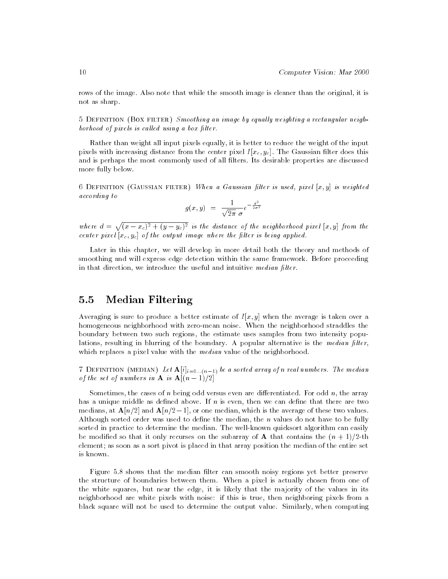rows of the image. Also note that while the smooth image is cleaner than the original, it is not as sharp.

5 DEFINITION (BOX FILTER) Smoothing an image by equally weighting a rectangular neighborhood of pixels is called using a box filter.

Rather than weight all input pixels equally, it is better to reduce the weight of the input pixels with increasing distance from the center pixel  $I[x_c, y_c]$ . The Gaussian filter does this and is perhaps the most commonly used of all filters. Its desirable properties are discussed more fully below.

6 DEFINITION (GAUSSIAN FILTER) When a Gaussian filter is used, pixel  $[x, y]$  is weighted according to

$$
g(x,y) = \frac{1}{\sqrt{2\pi} \sigma} e^{-\frac{d^2}{2\sigma^2}}
$$

where  $d = \sqrt{(x-x_c)^2 + (y-y_c)^2}$  is the distance of the neighborhood pixel [x, y] from the center pixel  $|x_c, y_c|$  of the output image where the filter is being applied.

Later in this chapter, we will develop in more detail both the theory and methods of smoothing and will express edge detection within the same framework. Before proceeding in that direction, we introduce the useful and intuitive *median filter*.

# 5.5 Median Filtering

Averaging is sure to produce a better estimate of  $I[x, y]$  when the average is taken over a homogeneous neighborhood with zero-mean noise. When the neighborhood straddles the boundary between two such regions, the estimate uses samples from two intensity populations, resulting in blurring of the boundary. A popular alternative is the *median filter*, which replaces a pixel value with the *median* value of the neighborhood.

 $\mathcal{I}$  is definitive. (median) if  $\mathcal{I}$  is a sorted array of n real numbers. The median of the set of numbers in **A** is  $\mathbf{A}[(n-1)/2]$ 

Sometimes, the cases of n being odd versus even are differentiated. For odd  $n$ , the array has a unique middle as defined above. If  $n$  is even, then we can define that there are two medians, at  $\mathbf{A}[n/2]$  and  $\mathbf{A}[n/2-1]$ , or one median, which is the average of these two values. Although sorted order was used to define the median, the  $n$  values do not have to be fully sorted in practice to determine the median. The well-known quicksort algorithm can easily be modified so that it only recurses on the subarray of **A** that contains the  $(n + 1)/2$ -th element; as soon as a sort pivot is placed in that array position the median of the entire set is known.

Figure 5.8 shows that the median filter can smooth noisy regions yet better preserve the structure of boundaries between them. When a pixel is actually chosen from one of the white squares, but near the edge, it is likely that the majority of the values in its neighborhood are white pixels with noise: if this is true, then neighboring pixels from a black square will not be used to determine the output value. Similarly, when computing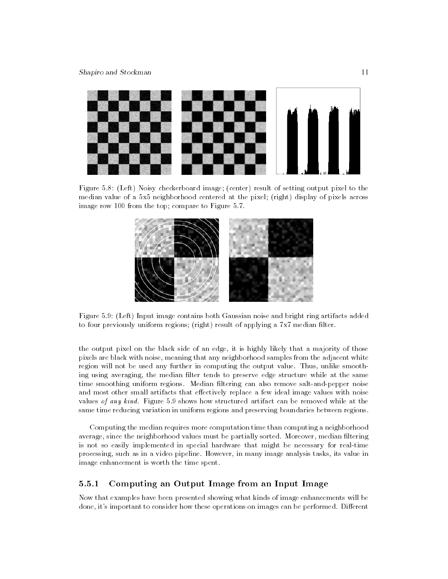

Figure 5.8: (Left) Noisy checkerboard image; (center) result of setting output pixel to the median value of a 5x5 neighborhood centered at the pixel; (right) display of pixels across image row 100 from the top; compare to Figure 5.7.



Figure 5.9: (Left) Input image contains both Gaussian noise and bright ring artifacts added to four previously uniform regions; (right) result of applying a  $7x7$  median filter.

the output pixel on the black side of an edge, it is highly likely that a majority of those pixels are black with noise, meaning that any neighborhood samples from the adjacent white region will not be used any further in computing the output value. Thus, unlike smoothing using averaging, the median filter tends to preserve edge structure while at the same time smoothing uniform regions. Median filtering can also remove salt-and-pepper noise and most other small artifacts that effectively replace a few ideal image values with noise values of any kind. Figure 5.9 shows how structured artifact can be removed while at the same time reducing variation in uniform regions and preserving boundaries between regions.

Computing the median requires more computation time than computing a neighborhood average, since the neighborhood values must be partially sorted. Moreover, median filtering is not so easily implemented in special hardware that might be necessary for real-time processing, such as in a video pipeline. However, in many image analysis tasks, its value in image enhancement is worth the time spent.

#### 5.5.1 Computing an Output Image from an Input Image 5.5.1

Now that examples have been presented showing what kinds of image enhancements will be done, it's important to consider how these operations on images can be performed. Different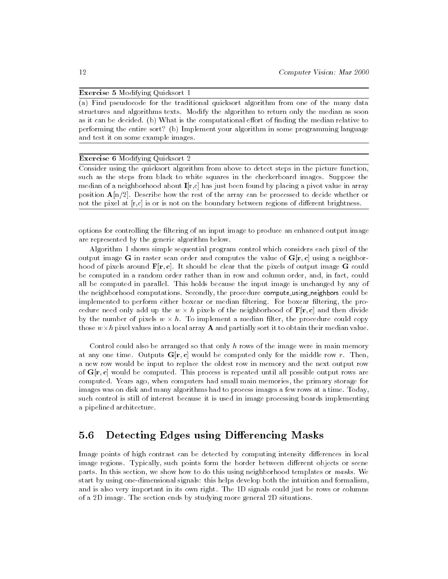### Exercise 5 Modifying Quicksort 1

(a) Find pseudocode for the traditional quicksort algorithm from one of the many data structures and algorithms texts. Modify the algorithm to return only the median as soon as it can be decided. (b) What is the computational effort of finding the median relative to performing the entire sort? (b) Implement your algorithm in some programming language and test it on some example images.

### Exercise 6 Modifying Quicksort 2

Consider using the quicksort algorithm from above to detect steps in the picture function, such as the steps from black to white squares in the checkerboard images. Suppose the median of a neighborhood about  $I[r,c]$  has just been found by placing a pivot value in array position  $A[n/2]$ . Describe how the rest of the array can be processed to decide whether or not the pixel at  $[r,c]$  is or is not on the boundary between regions of different brightness.

options for controlling the ltering of an input image to produce an enhanced output image are represented by the generic algorithm below.

Algorithm 1 shows simple sequential program control which considers each pixel of the output image G in raster scan order and computes the value of  $G[r, c]$  using a neighborhood of pixels around  $\mathbf{F}[\mathbf{r}, \mathbf{c}]$ . It should be clear that the pixels of output image G could be computed in a random order rather than in row and column order, and, in fact, could all be computed in parallel. This holds because the input image is unchanged by any of the neighborhood computations. Secondly, the procedure compute\_using\_neighbors could be implemented to perform either boxcar or median ltering. For boxcar ltering, the procedure need only add up the <sup>w</sup> - <sup>h</sup> pixels of the neighborhood of F[r; c] and then divide by the number of pixels w  $\ldots$  is the properties which inter the procedure could copy those w-h pixel values into a local array A and partially sort it to obtain their median value.

Control could also be arranged so that only  $h$  rows of the image were in main memory at any one time. Outputs  $G[r, c]$  would be computed only for the middle row r. Then, a new row would be input to replace the oldest row in memory and the next output row of  $G[r, c]$  would be computed. This process is repeated until all possible output rows are computed. Years ago, when computers had small main memories, the primary storage for images was on disk and many algorithms had to process images a few rows at a time. Today, such control is still of interest because it is used in image processing boards implementing a pipelined architecture.

#### $5.6$ Detecting Edges using Differencing Masks

Image points of high contrast can be detected by computing intensity differences in local image regions. Typically, such points form the border between different objects or scene parts. In this section, we show how to do this using neighborhood templates or masks. We start by using one-dimensional signals: this helps develop both the intuition and formalism, and is also very important in its own right. The 1D signals could just be rows or columns of a 2D image. The section ends by studying more general 2D situations.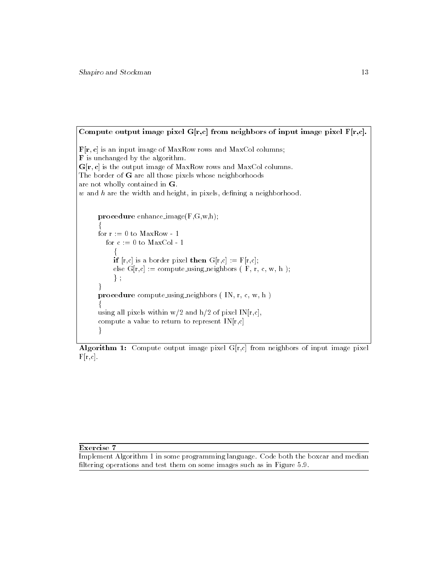Compute output image pixel  $G[r,c]$  from neighbors of input image pixel  $F[r,c]$ .  $\mathbf{F}[\mathbf{r}, \mathbf{c}]$  is an input image of MaxRow rows and MaxCol columns; F is unchanged by the algorithm.  $G[r, c]$  is the output image of MaxRow rows and MaxCol columns. The border of G are all those pixels whose neighborhoods are not wholly contained in G. w and <sup>h</sup> are the width and height, in pixels, dening a neighborhood. procedure enhance image(F,G,w,h); for the contract of the contract of the for  $r := 0$  to  $MaxRow - 1$ for  $c := 0$  to MaxCol - 1 f **if**  $[r,c]$  is a border pixel **then**  $G[r,c] := F[r,c]$ ; else  $G[r,c] := compute\_using\_neighbors$  ( F, r, c, w, h );  $\}$ ;  $\mathcal{E}$ procedure compute using neighbors ( IN, r, c, w, h ) for the contract of the contract of the using all pixels within  $w/2$  and  $h/2$  of pixel IN $[r,c]$ , compute a value to return to represent  $IN[r,c]$ ł

**Algorithm 1:** Compute output image pixel  $G[r,c]$  from neighbors of input image pixel  $F[r,c]$ .

### Exercise 7

Implement Algorithm 1 in some programming language. Code both the boxcar and median filtering operations and test them on some images such as in Figure 5.9.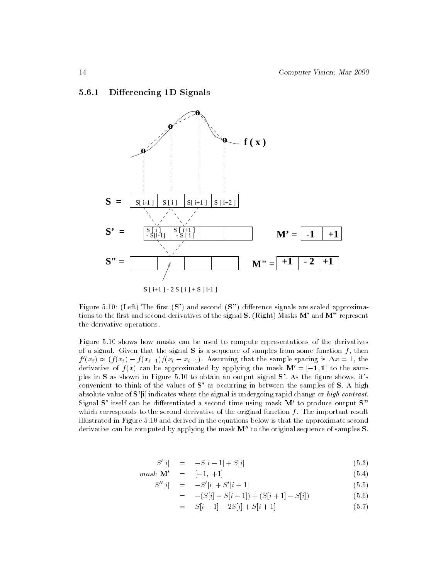### 5.6.1 Differencing 1D Signals



Figure 5.10: (Left) The first  $(S')$  and second  $(S'')$  difference signals are scaled approximations to the first and second derivatives of the signal  $S$ . (Right) Masks  $M'$  and  $M''$  represent the derivative operations.

Figure 5.10 shows how masks can be used to compute representations of the derivatives of a signal. Given that the signal  $S$  is a sequence of samples from some function f, then  $f(x_i) \approx (f(x_i) - f(x_{i-1})/(x_i - x_{i-1}).$  Assuming that the sample spacing is  $\Delta x = 1$ , the derivative of  $f(x)$  can be approximated by applying the mask  $\mathbf{M}' = [-1, 1]$  to the samples in  $S$  as shown in Figure 5.10 to obtain an output signal  $S'$ . As the figure shows, it's convenient to think of the values of S' as occurring in between the samples of S. A high absolute value of  $S'[i]$  indicates where the signal is undergoing rapid change or high contrast. Signal S' itself can be differentiated a second time using mask  $M'$  to produce output S" which corresponds to the second derivative of the original function  $f$ . The important result illustrated in Figure 5.10 and derived in the equations below is that the approximate second derivative can be computed by applying the mask  $M''$  to the original sequence of samples  $S$ .

$$
S'[i] = -S[i-1] + S[i] \tag{5.3}
$$

$$
mask \mathbf{M'} = [-1, +1] \tag{5.4}
$$

$$
S''[i] = -S'[i] + S'[i+1] \tag{5.5}
$$

$$
= -(S[i] - S[i-1]) + (S[i+1] - S[i]) \tag{5.6}
$$

$$
= S[i-1] - 2S[i] + S[i+1]
$$
\n(5.7)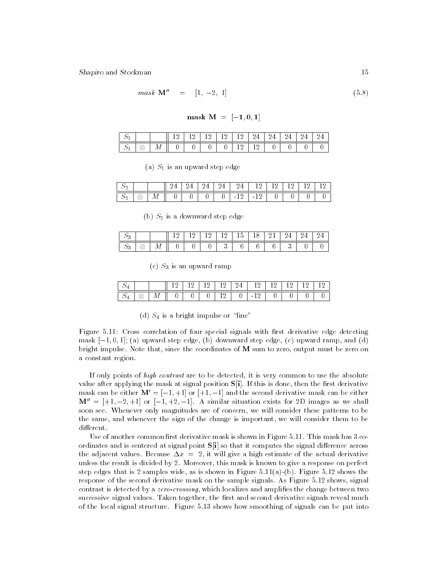$$
mask \mathbf{M}'' = [1, -2, 1] \tag{5.8}
$$

mask  $M = [-1, 0, 1]$ 

|  |  |  |  |   | $\frac{1}{2}$ 12 12 12 12 24 24 24 24 24 24 |   |
|--|--|--|--|---|---------------------------------------------|---|
|  |  |  |  | ◡ |                                             | ັ |

(a)  $S_1$  is an upward step edge

| ت -    |   |    |   |   | 4 | 24<br>- - | 24            | --       | -- |  | 1 ດ |
|--------|---|----|---|---|---|-----------|---------------|----------|----|--|-----|
| -<br>↩ | ⊗ | ΙИ | ັ | ◡ |   | v         | ി വ<br>$\sim$ | $\sim$ 1 | v  |  |     |

(b)  $S_2$  is a downward step edge

| ~<br>ر . |           |   |   |   | - - | ◡ |   |  |   |
|----------|-----------|---|---|---|-----|---|---|--|---|
| ∼<br>υ   | $\lambda$ | v | ັ | ັ |     | ັ | ັ |  | ັ |

 $(c)$   $S_3$  is an upward ramp

| $\otimes$ | М | 0 <sub>1</sub> | $\overline{0}$ |  | $0 \mid -12$ | $\mathbf{0}$ | $\checkmark$ |  |
|-----------|---|----------------|----------------|--|--------------|--------------|--------------|--|

(d)  $S_4$  is a bright impulse or "line"

Figure 5.11: Cross correlation of four special signals with first derivative edge detecting mask  $[-1, 0, 1]$ ; (a) upward step edge, (b) downward step edge, (c) upward ramp, and (d) bright impulse. Note that, since the coordinates of M sum to zero, output must be zero on a constant region.

If only points of high contrast are to be detected, it is very common to use the absolute value after applying the mask at signal position  $S[i]$ . If this is done, then the first derivative mask can be either  $\mathbf{M}' = [-1, +1]$  or  $[+1, -1]$  and the second derivative mask can be either  $M'' = [+1, -2, +1]$  or  $[-1, +2, -1]$ . A similar situation exists for 2D images as we shall soon see. Whenever only magnitudes are of concern, we will consider these patterns to be the same, and whenever the sign of the change is important, we will consider them to be different.

Use of another common first derivative mask is shown in Figure  $5.11$ . This mask has  $3$  coordinates and is centered at signal point  $S[i]$  so that it computes the signal difference across the adjacent values. Because  $\Delta x = 2$ , it will give a high estimate of the actual derivative unless the result is divided by 2. Moreover, this mask is known to give a response on perfect step edges that is 2 samples wide, as is shown in Figure 5.11(a)-(b). Figure 5.12 shows the response of the second derivative mask on the sample signals. As Figure 5.12 shows, signal contrast is detected by a *zero-crossing*, which localizes and amplifies the change between two successive signal values. Taken together, the first and second derivative signals reveal much of the local signal structure. Figure 5.13 shows how smoothing of signals can be put into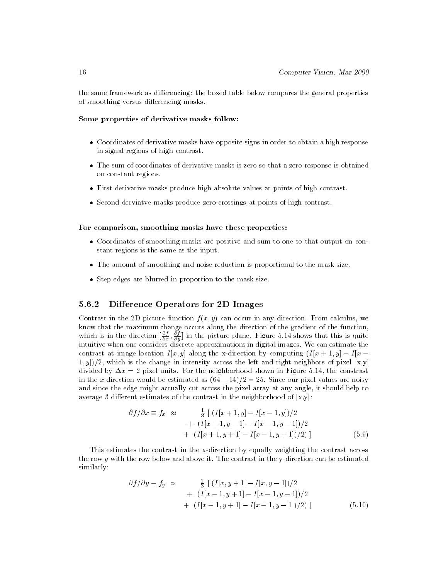the same framework as differencing: the boxed table below compares the general properties of smoothing versus differencing masks.

### Some properties of derivative masks follow:

- Coordinates of derivative masks have opposite signs in order to obtain a high response in signal regions of high contrast.
- The sum of coordinates of derivative masks is zero so that a zero response is obtained on constant regions.
- First derivative masks produce high absolute values at points of high contrast.
- Second derviatve masks produce zero-crossings at points of high contrast.

### For comparison, smoothing masks have these properties:

- Coordinates of smoothing masks are positive and sum to one so that output on constant regions is the same as the input.
- The amount of smoothing and noise reduction is proportional to the mask size.
- Step edges are blurred in proportion to the mask size.

#### 5.6.2 Difference Operators for 2D Images

Contrast in the 2D picture function  $f(x, y)$  can occur in any direction. From calculus, we know that the maximum change occurs along the direction of the gradient of the function, which is in the direction  $[\frac{1}{\theta x}, \frac{1}{\theta y}]$  in the picture plane. Figure 5.14 shows that this is quite intuitive when one considers discrete approximations in digital images. We can estimate the contrast at image location  $I[x, y]$  along the x-direction by computing  $(I[x + 1, y] - I[x 1, y$ )/2, which is the change in intensity across the left and right neighbors of pixel [x,y] divided by  $\Delta x = 2$  pixel units. For the neighborhood shown in Figure 5.14, the constrast in the x direction would be estimated as  $(64 - 14)/2 = 25$ . Since our pixel values are noisy and since the edge might actually cut across the pixel array at any angle, it should help to average 3 different estimates of the contrast in the neighborhood of  $[x, y]$ :

$$
\partial f/\partial x \equiv f_x \approx \frac{\frac{1}{3} [(I[x+1,y]-I[x-1,y])/2+ (I[x+1,y-1]-I[x-1,y-1])/2+ (I[x+1,y+1]-I[x-1,y+1])/2)]
$$
(5.9)

This estimates the contrast in the x-direction by equally weighting the contrast across the row ywith the row below and above it. The contrast in the y-direction can be estimated similarly:

$$
\partial f/\partial y \equiv f_y \approx \frac{\frac{1}{3} \left[ (I[x, y+1] - I[x, y-1])/2 \right]}{(I[x-1, y+1] - I[x-1, y-1])/2}
$$
  
+  $(I[x+1, y+1] - I[x+1, y-1])/2)$  (5.10)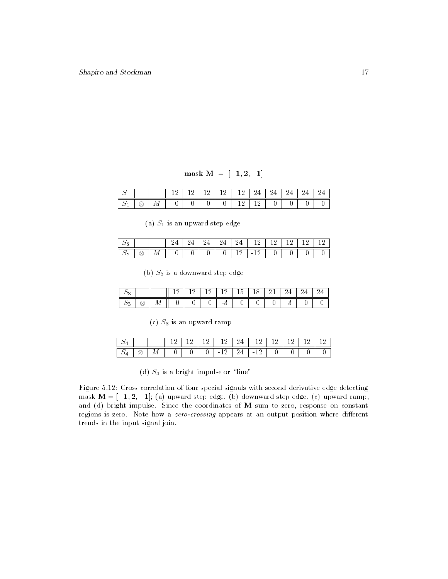$mask M = [-1, 2, -1]$ 

| ∼ |  |  |   | -12 F - 12 F 24 F                  | - 24 - 22 | $24-$ |  |
|---|--|--|---|------------------------------------|-----------|-------|--|
|   |  |  | v | - 19 -<br><b>Contract Contract</b> |           |       |  |

(a)  $S_1$  is an upward step edge

| ٮ<br>∸           |        |    |   |   | -           | 4<br>л.<br>$\overline{\phantom{0}}$ | $1 \Omega$<br>-- | -- |   |   |   |
|------------------|--------|----|---|---|-------------|-------------------------------------|------------------|----|---|---|---|
| $\sim$<br>ت<br>▵ | ⌒<br>◡ | IИ | ັ | ◡ | $\sim$<br>◡ |                                     | $-$              | ◡  | ◡ | ◡ | ັ |

(b)  $S_2$  is a downward step edge

| ∼<br>υ |           |        |   |                    | ٠ | ◡ |  |   |
|--------|-----------|--------|---|--------------------|---|---|--|---|
| ∼<br>υ | <br>- - - | -<br>◡ | ັ | $\Omega$<br>-<br>ີ |   | ັ |  | ◡ |

(c)  $S_3$  is an upward ramp

| ∼ |   |   |   | $12112$ $1212$       | $12 \perp$  | 12 I |  |  |
|---|---|---|---|----------------------|-------------|------|--|--|
| ∼ | М | - | ັ | $\sim$ $\sim$ $\sim$ | $-24$ $-12$ |      |  |  |

(d)  $S_4$  is a bright impulse or "line"

Figure 5.12: Cross correlation of four special signals with second derivative edge detecting mask  $M = [-1, 2, -1]$ ; (a) upward step edge, (b) downward step edge, (c) upward ramp, and (d) bright impulse. Since the coordinates of M sum to zero, response on constant regions is zero. Note how a zero-crossing appears at an output position where different trends in the input signal join.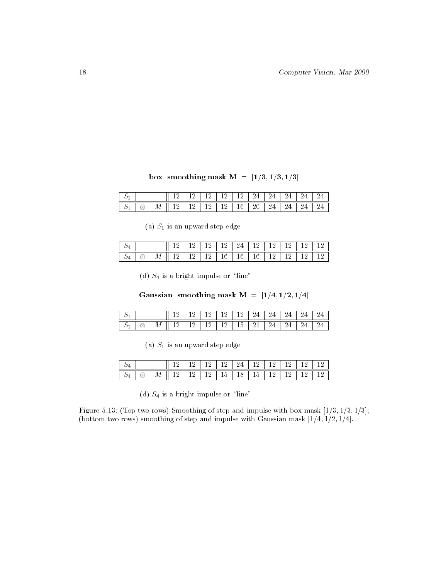box smoothing mask  $M = [1/3, 1/3, 1/3]$ 

|  |                                                        |  | 12 1 12 1 12 1 24 1 24 1 24 1 24 1 |  |  |  |
|--|--------------------------------------------------------|--|------------------------------------|--|--|--|
|  | 1 12 1 2 1 2 1 2 1 2 1 3 1 2 0 1 2 4 1 2 4 1 2 4 1 2 4 |  |                                    |  |  |  |

(a)  $S_1$  is an upward step edge

| ↩ |    |   |                       | 12 I I |  | $-12$   12   24   12   12   12 |                   |         | 12  |
|---|----|---|-----------------------|--------|--|--------------------------------|-------------------|---------|-----|
| ↩ | Q, | М | 12   12   12   16   1 |        |  |                                | $16 \pm 16 \pm 1$ | 12 12 1 | ⊥ ∠ |

(d)  $S_4$  is a bright impulse or "line"

Gaussian smoothing mask  $M = [1/4, 1/2, 1/4]$ 

|  |                                                                              |  | $12$   12   12   12   24   24   25 |  |  |  |
|--|------------------------------------------------------------------------------|--|------------------------------------|--|--|--|
|  | $\mid M \parallel 12 \mid 12 \mid 12 \overline{112 \mid 15 \mid 21 \mid 24}$ |  |                                    |  |  |  |

(a)  $S_1$  is an upward step edge

|  | $\boxed{\otimes}$   M    12   12   12   15   18   15   12   12   12   12 |  |  |  |  |  |
|--|--------------------------------------------------------------------------|--|--|--|--|--|

(d)  $S_4$  is a bright impulse or "line"

Figure 5.13: (Top two rows) Smoothing of step and impulse with box mask  $[1/3, 1/3, 1/3]$ ; (bottom two rows) smoothing of step and impulse with Gaussian mask  $[1/4, 1/2, 1/4]$ .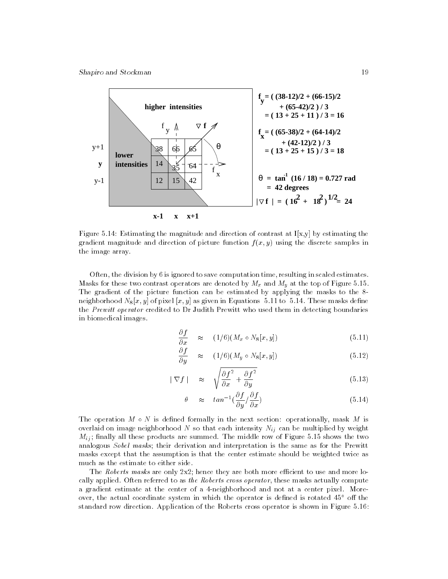

Figure 5.14: Estimating the magnitude and direction of contrast at  $I[x,y]$  by estimating the gradient magnitude and direction of picture function  $f(x, y)$  using the discrete samples in the image array.

Often, the division by 6 is ignored to save computation time, resulting in scaled estimates. Masks for these two contrast operators are denoted by  $M_x$  and  $M_y$  at the top of Figure 5.15. The gradient of the picture function can be estimated by applying the masks to the 8 neighborhood  $N_8[x, y]$  of pixel  $[x, y]$  as given in Equations 5.11 to 5.14. These masks define the Prewitt operator credited to Dr Judith Prewitt who used them in detecting boundaries in biomedical images.

$$
\frac{\partial f}{\partial x} \approx (1/6)(M_x \circ N_8[x, y]) \tag{5.11}
$$

$$
\frac{\partial f}{\partial y} \quad \approx \quad (1/6)(M_y \circ N_8[x, y]) \tag{5.12}
$$

$$
|\nabla f| \approx \sqrt{\frac{\partial f^2}{\partial x} + \frac{\partial f^2}{\partial y}}
$$
 (5.13)

$$
\theta \approx \tan^{-1} \left( \frac{\partial f}{\partial y} / \frac{\partial f}{\partial x} \right) \tag{5.14}
$$

The operation  $M \circ N$  is defined formally in the next section: operationally, mask M is overlaid on image neighborhood N so that each intensity  $N_{ij}$  can be multiplied by weight  $M_{ij}$ ; finally all these products are summed. The middle row of Figure 5.15 shows the two analogous Sobel masks; their derivation and interpretation is the same as for the Prewitt masks except that the assumption is that the center estimate should be weighted twice as much as the estimate to either side.

The Roberts masks are only  $2x^2$ ; hence they are both more efficient to use and more locally applied. Often referred to as the Roberts cross operator, these masks actually compute a gradient estimate at the center of a 4-neighborhood and not at a center pixel. Moreover, the actual coordinate system in which the operator is defined is rotated  $45^{\circ}$  off the standard row direction. Application of the Roberts cross operator is shown in Figure 5.16: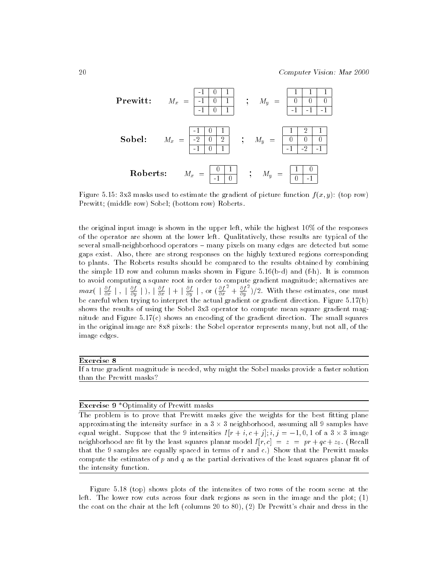| <b>Prewitt:</b> | $M_x = \frac{-1}{-1} \begin{bmatrix} 0 & 1 \\ -1 & 0 & 1 \\ -1 & 0 & 1 \end{bmatrix}$ | }; | $M_y = \frac{\begin{bmatrix} 1 & 1 & 1 \\ 0 & 0 & 0 \\ -1 & -1 & -1 \end{bmatrix}}{\begin{bmatrix} -1 & 0 & 1 \\ -1 & 0 & 1 \end{bmatrix}}$ |
|-----------------|---------------------------------------------------------------------------------------|----|---------------------------------------------------------------------------------------------------------------------------------------------|
| Sobel:          | $M_x = \frac{-1}{-2} \begin{bmatrix} 0 & 1 \\ 0 & 1 \end{bmatrix}$                    | }; | $M_y = \frac{\begin{bmatrix} 1 & 2 & 1 \\ 0 & 0 & 0 \\ -1 & -2 & -1 \end{bmatrix}}{\begin{bmatrix} -1 & 0 \\ -1 & 0 \end{bmatrix}}$         |
| Roberts:        | $M_x = \frac{0}{-1} \begin{bmatrix} 1 & 0 \\ 0 & -1 \end{bmatrix}$                    | }; | $M_y = \frac{1}{0} \begin{bmatrix} 1 & 0 \\ 0 & -1 \end{bmatrix}$                                                                           |

Figure 5.15: 3x3 masks used to estimate the gradient of picture function  $f(x, y)$ : (top row) Prewitt; (middle row) Sobel; (bottom row) Roberts.

the original input image is shown in the upper left, while the highest 10% of the responses of the operator are shown at the lower left. Qualitatively, these results are typical of the several small-neighborhood operators - many pixels on many edges are detected but some gaps exist. Also, there are strong responses on the highly textured regions corresponding to plants. The Roberts results should be compared to the results obtained by combining the simple 1D row and column masks shown in Figure 5.16(b-d) and (f-h). It is common to avoid computing a square root in order to compute gradient magnitude; alternatives are  $max($  |  $\frac{1}{\partial x}$  |  $,$  |  $\frac{1}{\partial y}$  |  $),$  |  $\frac{1}{\partial x}$  |  $+$  |  $\frac{1}{\partial y}$  |  $,$  or  $(\frac{1}{\partial x}$  +  $+ \frac{\partial f}{\partial y}$  )/ (2)<sup>2</sup>. With these estimates, one must be careful when trying to interpret the actual gradient or gradient direction. Figure 5.17(b) shows the results of using the Sobel 3x3 operator to compute mean square gradient magnitude and Figure 5.17(c) shows an encoding of the gradient direction. The small squares in the original image are 8x8 pixels: the Sobel operator represents many, but not all, of the image edges.

### Exercise 8

If a true gradient magnitude is needed, why might the Sobel masks provide a faster solution than the Prewitt masks?

### Exercise 9 \*Optimality of Prewitt masks

The problem is to prove that Prewitt masks give the weights for the best fitting plane approximating the intensity surface in a 3 - 3 neighborhood, assuming all 9 samples have equal weight. Suppose that the 9 intensities  $I[T + i, c + j], i, j = -1, 0, 1$  or a  $3 \times 3$  image neighborhood are fit by the least squares planar model  $I[r, c] = z = pr + qc + z_0$ . (Recall that the 9 samples are equally spaced in terms of r and c.) Show that the Prewitt masks compute the estimates of  $p$  and  $q$  as the partial derivatives of the least squares planar fit of the intensity function.

Figure 5.18 (top) shows plots of the intensites of two rows of the room scene at the left. The lower row cuts across four dark regions as seen in the image and the plot; (1) the coat on the chair at the left (columns 20 to 80), (2) Dr Prewitt's chair and dress in the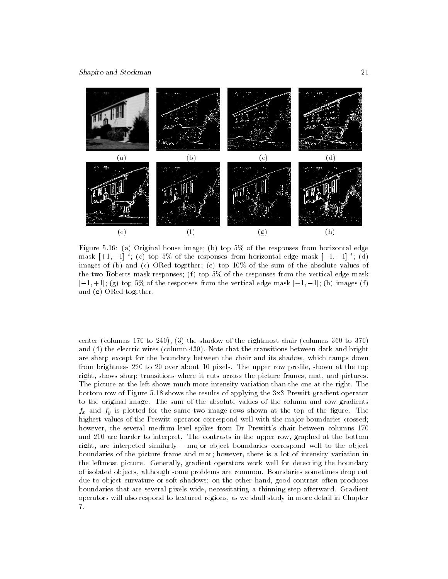

Figure 5.16: (a) Original house image; (b) top 5% of the responses from horizontal edge mask  $|+1,-1|$  ; (c) top 5% of the responses from horizontal edge mask  $|-1,+1|$  ; (d) images of (b) and (c) ORed together; (e) top 10% of the sum of the absolute values of the two Roberts mask responses; (f) top  $5\%$  of the responses from the vertical edge mask  $[-1, +1]$ ; (g) top 5% of the responses from the vertical edge mask  $[+1, -1]$ ; (h) images (f) and (g) ORed together.

center (columns 170 to 240), (3) the shadow of the rightmost chair (columns 360 to 370) and (4) the electric wires (column 430). Note that the transitions between dark and bright are sharp except for the boundary between the chair and its shadow, which ramps down from brightness 220 to 20 over about 10 pixels. The upper row profile, shown at the top right, shows sharp transitions where it cuts across the picture frames, mat, and pictures. The picture at the left shows much more intensity variation than the one at the right. The bottom row of Figure 5.18 shows the results of applying the 3x3 Prewitt gradient operator to the original image. The sum of the absolute values of the column and row gradients  $f_x$  and  $f_y$  is plotted for the same two image rows shown at the top of the figure. The highest values of the Prewitt operator correspond well with the major boundaries crossed; however, the several medium level spikes from Dr Prewitt's chair between columns 170 and 210 are harder to interpret. The contrasts in the upper row, graphed at the bottom right, are interpeted similarly – major object boundaries correspond well to the object boundaries of the picture frame and mat; however, there is a lot of intensity variation in the leftmost picture. Generally, gradient operators work well for detecting the boundary of isolated objects, although some problems are common. Boundaries sometimes drop out due to object curvature or soft shadows: on the other hand, good contrast often produces boundaries that are several pixels wide, necessitating a thinning step afterward. Gradient operators will also respond to textured regions, as we shall study in more detail in Chapter 7.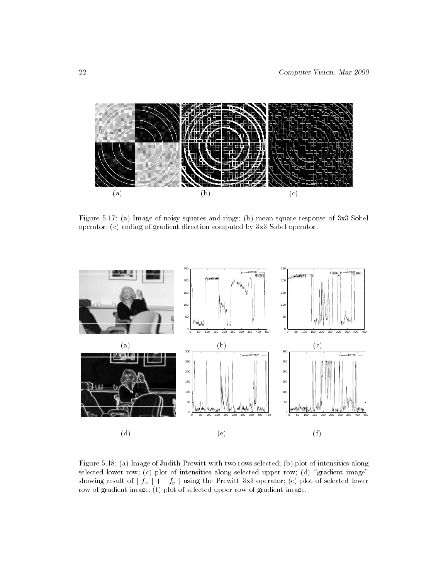

Figure 5.17: (a) Image of noisy squares and rings; (b) mean square response of 3x3 Sobel operator; (c) coding of gradient direction computed by 3x3 Sobel operator.



Figure 5.18: (a) Image of Judith Prewitt with two rows selected; (b) plot of intensities along selected lower row; (c) plot of intensities along selected upper row; (d) "gradient image" showing result of  $|f_x| + |f_y|$  using the Prewitt 3x3 operator; (e) plot of selected lower row of gradient image; (f) plot of selected upper row of gradient image.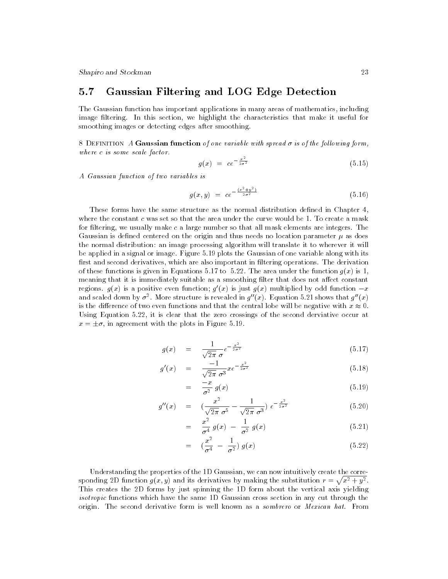Shapiro and Stockman 23

# 5.7 Gaussian Filtering and LOG Edge Detection

The Gaussian function has important applications in many areas of mathematics, including image filtering. In this section, we highlight the characteristics that make it useful for smoothing images or detecting edges after smoothing.

8 DEFINITION A Gaussian function of one variable with spread  $\sigma$  is of the following form, where <sup>c</sup> is some scale factor.

$$
g(x) = ce^{-\frac{x^2}{2\sigma^2}} \tag{5.15}
$$

A Gaussian function of two variables is

$$
g(x, y) = c e^{-\frac{(x^2 + y^2)}{2\sigma^2}} \tag{5.16}
$$

These forms have the same structure as the normal distribution defined in Chapter 4, where the constant c was set so that the area under the curve would be 1. To create a mask for filtering, we usually make c a large number so that all mask elements are integers. The Gaussian is defined centered on the origin and thus needs no location parameter  $\mu$  as does the normal distribution: an image processing algorithm will translate it to wherever it will be applied in a signal or image. Figure 5.19 plots the Gaussian of one variable along with its first and second derivatives, which are also important in filtering operations. The derivation of these functions is given in Equations 5.17 to 5.22. The area under the function  $g(x)$  is 1, meaning that it is immediately suitable as a smoothing filter that does not affect constant regions.  $q(x)$  is a positive even function;  $q(x)$  is just  $q(x)$  multiplied by odd function  $-x$ and scaled down by  $\sigma^{\pm}$ . More structure is revealed in  $q^-(x)$ . Equation 5.21 shows that  $q^-(x)$ is the difference of two even functions and that the central lobe will be negative with  $x \approx 0$ . Using Equation 5.22, it is clear that the zero crossings of the second derviative occur at  $\omega = \pm 0$ , in agreement with the proto in Figure 5.19.

$$
g(x) = \frac{1}{\sqrt{2\pi} \sigma} e^{-\frac{x^2}{2\sigma^2}} \tag{5.17}
$$

$$
g'(x) = \frac{-1}{\sqrt{2\pi} \sigma^3} x e^{-\frac{x^2}{2\sigma^2}} \tag{5.18}
$$

$$
= \frac{-x}{\sigma^2} g(x) \tag{5.19}
$$

$$
g''(x) = \left(\frac{x^2}{\sqrt{2\pi} \ \sigma^5} - \frac{1}{\sqrt{2\pi} \ \sigma^3}\right) e^{-\frac{x^2}{2\sigma^2}} \tag{5.20}
$$

$$
= \frac{x^2}{\sigma^4} g(x) - \frac{1}{\sigma^2} g(x) \tag{5.21}
$$

$$
= \left(\frac{x^2}{\sigma^4} - \frac{1}{\sigma^2}\right) g(x) \tag{5.22}
$$

Understanding the properties of the 1D Gaussian, we can now intuitively create the corresponding 2D function  $q(x, y)$  and its derivatives by making the substitution  $r = \sqrt{x^2 + y^2}$ . .This creates the 2D forms by just spinning the 1D form about the vertical axis yielding isotropic functions which have the same 1D Gaussian cross section in any cut through the origin. The second derivative form is well known as a sombrero or Mexican hat. From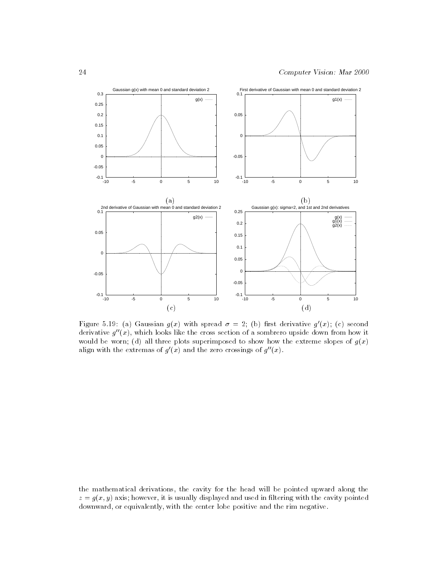

Figure 5.19: (a) Gaussian  $g(x)$  with spread  $\sigma = 2$ ; (b) first derivative  $g'(x)$ ; (c) second derivative  $g''(x)$ , which looks like the cross section of a sombrero upside down from how it would be worn; (d) all three plots superimposed to show how the extreme slopes of  $g(x)$ align with the extremas of  $q(x)$  and the zero crossings of  $q^-(x)$ .

the mathematical derivations, the cavity for the head will be pointed upward along the  $z = y(x, y)$  axis, however, it is usually displayed and used in interling with the cavity pointed downward, or equivalently, with the center lobe positive and the rim negative.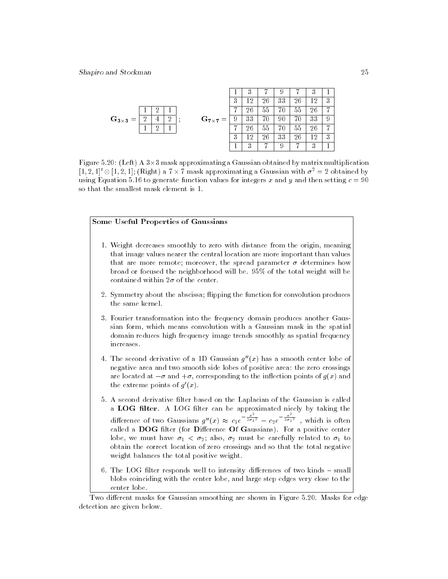|                           |   |    |                           |    | .,<br>., |    |    |    | .,<br>◡       |   |  |
|---------------------------|---|----|---------------------------|----|----------|----|----|----|---------------|---|--|
|                           |   |    |                           | 3  | ച        | 26 | 33 | 26 | $12^-$        | 3 |  |
|                           |   |    |                           |    | 26       | hh |    | 55 | 26            | − |  |
| $\mathbf{G}_{3\times 3}=$ |   | 63 | $\mathbf{G_{7\times7}}=%$ | -9 | 33       |    | 90 |    | 33            | 9 |  |
|                           | ച |    |                           |    | 26       | bb |    | bb | 26            | − |  |
|                           |   |    |                           | 3  | ച        | 26 | 33 | 26 | 12            | 3 |  |
|                           |   |    |                           |    | റ        |    | ٠  |    | $\Omega$<br>∙ |   |  |

Figure 5.20: (Left) A 3-3 mask approximating a Gaussian obtained by matrix multiplication  $[1, 2, 1]$ °  $\otimes$   $[1, 2, 1]$ ; (Kight) a  $i \times i$  mask approximating a Gaussian with  $\sigma^+ = 2$  obtained by using Equation 5.16 to generate function values for integers x and y and then setting  $c = 90$ so that the smallest mask element is 1.

### Some Useful Properties of Gaussians

- 1. Weight decreases smoothly to zero with distance from the origin, meaning that image values nearer the central location are more important than values that are more remote; moreover, the spread parameter  $\sigma$  determines how broad or focused the neighborhood will be. 95% of the total weight will be contained within  $2\sigma$  of the center.
- 2. Symmetry about the abscissa; flipping the function for convolution produces the same kernel.
- 3. Fourier transformation into the frequency domain produces another Gaussian form, which means convolution with a Gaussian mask in the spatial domain reduces high frequency image trends smoothly as spatial frequency increases.
- 4. The second derivative of a 1D Gaussian  $g''(x)$  has a smooth center lobe of negative area and two smooth side lobes of positive area: the zero crossings are located at  $-\sigma$  and  $+\sigma$ , corresponding to the inflection points of  $g(x)$  and the extreme points of  $g'(x)$ .
- 5. A second derivative filter based on the Laplacian of the Gaussian is called a LOG filter. A LOG filter can be approximated nicely by taking the difference of two Gaussians  $g''(x) \approx c_1 e^{-\frac{x^2}{2\sigma_1^2}} - c_2 e^{-\frac{x^2}{2\sigma_2^2}}$ , which is often called a  $\bf{DOG}$  filter (for Difference Of Gaussians). For a positive center lobe, we must have  $\sigma_1 < \sigma_2$ ; also,  $\sigma_2$  must be carefully related to  $\sigma_1$  to obtain the correct location of zero crossings and so that the total negative weight balances the total positive weight.
- 6. The LOG filter responds well to intensity differences of two kinds small blobs coinciding with the center lobe, and large step edges very close to the center lobe.

Two different masks for Gaussian smoothing are shown in Figure 5.20. Masks for edge detection are given below.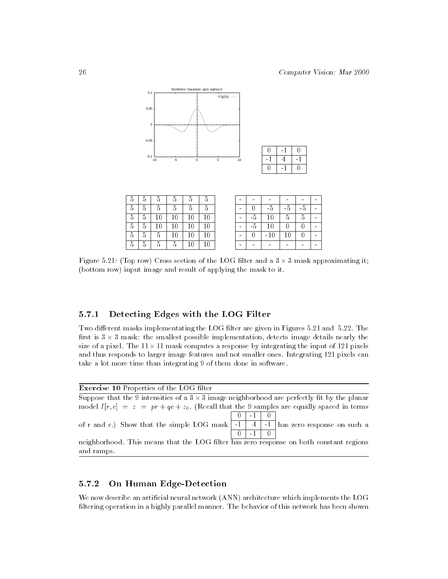

| 5              | 5 | 5      | 5  | $\overline{5}$ | 5      |
|----------------|---|--------|----|----------------|--------|
| 5              | 5 | 5      | 5  | 5              | 5      |
| $\overline{5}$ | 5 | 10     | 10 | 10             | $10\,$ |
| $\overline{5}$ | 5 | $10\,$ | 10 | 10             | $10\,$ |
| 5              | 5 | 5      | 10 | 10             | 10     |
| 5              | G |        |    |                | .C     |

|    | -5              | -5 |   |  |
|----|-----------------|----|---|--|
| -5 | $\overline{10}$ | 5  | 5 |  |
| .5 | 10              |    |   |  |
|    | $-10$           | 10 |   |  |
|    |                 |    |   |  |

0 -1 0  $-1$  4  $-1$ 0 -1 0

 $\overline{0}$ 

0

 $\overline{0}$  $-1$ 

Figure 5.21: (Top row) Cross section of the LOG lter and a 3 - 3 mask approximating it; (bottom row) input image and result of applying the mask to it.

# 5.7.1 Detecting Edges with the LOG Filter

Two different masks implementating the LOG filter are given in Figures 5.21 and 5.22. The rst is 3 - 3 mask: the smallest possible implementation, detects image details nearly the size of a pixel. The 11 - 11 mask computes a response by integrating the input of 121 pixels and thus responds to larger image features and not smaller ones. Integrating 121 pixels can take a lot more time than integrating 9 of them done in software.

| <b>Exercise 10</b> Properties of the LOG filter                                                     |          |  |
|-----------------------------------------------------------------------------------------------------|----------|--|
| Suppose that the 9 intensities of a $3 \times 3$ image neighborhood are perfectly fit by the planar |          |  |
| model $I[r,c] = z = pr + qc + z_0$ . (Recall that the 9 samples are equally spaced in terms         |          |  |
|                                                                                                     | $\sim$ 1 |  |
| of r and c.) Show that the simple LOG mask   -1   4   -1   has zero response on such a              |          |  |
|                                                                                                     |          |  |
| neighborhood. This means that the LOG filter has zero response on both constant regions             |          |  |
| and ramps.                                                                                          |          |  |

# 5.7.2 On Human Edge-Detection

We now describe an artificial neural network (ANN) architecture which implements the LOG filtering operation in a highly parallel manner. The behavior of this network has been shown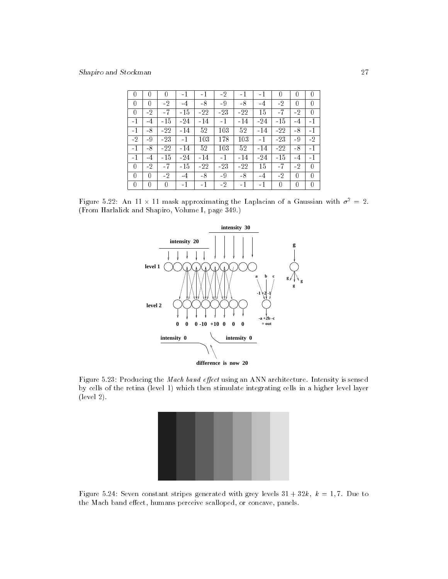| 0    | 0    |       | $-1$  | -1    | $-2$  | $-1$  | $-1$  | 0     | 0    | 0    |
|------|------|-------|-------|-------|-------|-------|-------|-------|------|------|
| 0    | 0    | -2    | -4    | -8    | $-9$  | -8    | -4    | -2    | 0    | 0    |
| 0    | $-2$ | $-7$  | $-15$ | $-22$ | $-23$ | $-22$ | 15    | $-7$  | $-2$ | 0    |
| -1   | -4   | $-15$ | -24   | $-14$ | $-1$  | $-14$ | $-24$ | $-15$ | -4   | $-1$ |
| $-1$ | -8   | $-22$ | -14   | 52    | 103   | 52    | $-14$ | $-22$ | $-8$ | $-1$ |
| $-2$ | -9   | $-23$ | -1    | 103   | 178   | 103   | $-1$  | $-23$ | -9   | $-2$ |
| $-1$ | $-8$ | $-22$ | $-14$ | 52    | 103   | 52    | $-14$ | $-22$ | $-8$ | $-1$ |
| $-1$ | -4   | $-15$ | -24   | -14   | $-1$  | $-14$ | $-24$ | $-15$ | -4   | $-1$ |
| O    | -2   | -7    | $-15$ | -22   | $-23$ | $-22$ | 15    |       | -2   | 0    |
| 0    | 0    | $-2$  | $-4$  | -8    | -9    | $-8$  | -4    | $-2$  | 0    | 0    |
| 0    | 0    | 0     | $-1$  | $-1$  | $-2$  | $-1$  | $-1$  | 0     | 0    | 0    |

Figure 5.22: An II  $\times$  11 mask approximating the Laplacian of a Gaussian with  $\sigma^-=$  2. (From Harlalick and Shapiro, Volume I, page 349.)



Figure 5.23: Producing the Mach band effect using an ANN architecture. Intensity is sensed by cells of the retina (level 1) which then stimulate integrating cells in a higher level layer (level 2).



Figure 5.24: Seven constant stripes generated with grey levels  $31 + 32k$ ,  $k = 1, 7$ . Due to the Mach band effect, humans perceive scalloped, or concave, panels.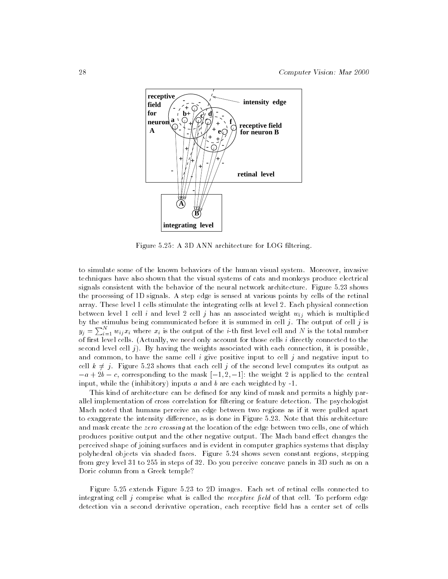

Figure 5.25: A 3D ANN architecture for LOG filtering.

to simulate some of the known behaviors of the human visual system. Moreover, invasive techniques have also shown that the visual systems of cats and monkeys produce electrical signals consistent with the behavior of the neural network architecture. Figure 5.23 shows the processing of 1D signals. A step edge is sensed at various points by cells of the retinal array. These level 1 cells stimulate the integrating cells at level 2. Each physical connection between level 1 cell i and level 2 cell j has an associated weight  $w_{ij}$  which is multiplied by the stimulus being communicated before it is summed in cell  $j$ . The output of cell  $j$  is  $y_j = \sum_{i=1}^N w_{ij} x_i$  where  $x_i$  is the output of the *i*-th first level cell and N is the total number of first level cells. (Actually, we need only account for those cells *i* directly connected to the second level cell  $j$ ). By having the weights associated with each connection, it is possible, and common, to have the same cell  $i$  give positive input to cell  $j$  and negative input to cell  $k \neq j$ . Figure 5.23 shows that each cell j of the second level computes its output as  $-a + 2b - c$ , corresponding to the mask  $[-1, 2, -1]$ : the weight 2 is applied to the central input, while the (inhibitory) inputs a and b are each weighted by  $-1$ .

This kind of architecture can be defined for any kind of mask and permits a highly parallel implementation of cross correlation for ltering or feature detection. The psychologist Mach noted that humans perceive an edge between two regions as if it were pulled apart to exaggerate the intensity difference, as is done in Figure 5.23. Note that this architecture and mask create the *zero crossing* at the location of the edge between two cells, one of which produces positive output and the other negative output. The Mach band effect changes the perceived shape of joining surfaces and is evident in computer graphics systems that display polyhedral objects via shaded faces. Figure 5.24 shows seven constant regions, stepping from grey level 31 to 255 in steps of 32. Do you perceive concave panels in 3D such as on a Doric column from a Greek temple?

Figure 5.25 extends Figure 5.23 to 2D images. Each set of retinal cells connected to integrating cell  $i$  comprise what is called the *receptive field* of that cell. To perform edge detection via a second derivative operation, each receptive field has a center set of cells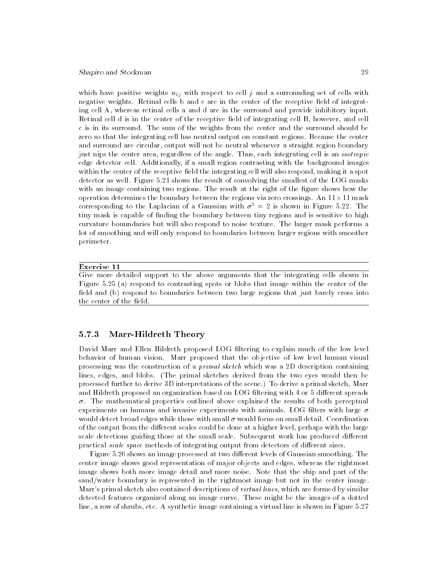### Shapiro and Stockman 29

which have positive weights  $w_{ij}$  with respect to cell j and a surrounding set of cells with negative weights. Retinal cells b and c are in the center of the receptive field of integrating cell A, whereas retinal cells a and d are in the surround and provide inhibitory input. Retinal cell d is in the center of the receptive field of integrating cell B, however, and cell c is in its surround. The sum of the weights from the center and the surround should be zero so that the integrating cell has neutral output on constant regions. Because the center and surround are circular, output will not be neutral whenever a straight region boundary just nips the center area, regardless of the angle. Thus, each integrating cell is an isotropic edge detector cell. Additionally, if a small region contrasting with the background images within the center of the receptive field the integrating cell will also respond, making it a spot detector as well. Figure 5.21 shows the result of convolving the smallest of the LOG masks with an image containing two regions. The result at the right of the figure shows how the operation determines the boundary between the regions via zero crossings. An 11-11 mask corresponding to the Laplacian of a Gaussian with  $\sigma^2 = 2$  is shown in Figure 5.22. The tiny mask is capable of nding the boundary between tiny regions and is sensitive to high curvature bouundaries but will also respond to noise texture. The larger mask performs a lot of smoothing and will only respond to boundaries between larger regions with smoother perimeter.

### Exercise 11

Give more detailed support to the above arguments that the integrating cells shown in Figure 5.25 (a) respond to contrasting spots or blobs that image within the center of the field and (b) respond to boundaries between two large regions that just barely cross into the center of the field

### 5.7.3 Marr-Hildreth Theory

David Marr and Ellen Hildreth proposed LOG filtering to explain much of the low level behavior of human vision. Marr proposed that the objective of low level human visual processing was the construction of a *primal sketch* which was a 2D description containing lines, edges, and blobs. (The primal sketches derived from the two eyes would then be processed further to derive 3D interpretations of the scene.) To derive a primal sketch, Marr and Hildreth proposed an organization based on LOG filtering with 4 or 5 different spreads  $\sigma$ . The mathematical properties outlined above explained the results of both perceptual experiments on humans and invasive experiments with animals. LOG filters with large  $\sigma$ would detect broad edges while those with small  $\sigma$  would focus on small detail. Coordination of the output from the different scales could be done at a higher level, perhaps with the large scale detections guiding those at the small scale. Subsequent work has produced different practical scale space methods of integrating output from detectors of different sizes.

Figure 5.26 shows an image processed at two different levels of Gaussian smoothing. The center image shows good representation of major objects and edges, whereas the rightmost image shows both more image detail and more noise. Note that the ship and part of the sand/water boundary is represented in the rightmost image but not in the center image. Marr's primal sketch also contained descriptions of *virtual lines*, which are formed by similar detected features organized along an image curve. These might be the images of a dotted line, a row of shrubs, etc. A synthetic image containing a virtual line is shown in Figure 5.27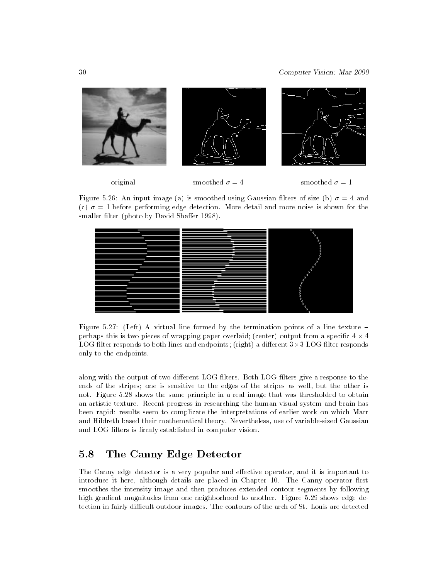

Figure 5.26: An input image (a) is smoothed using Gaussian filters of size (b)  $\sigma = 4$  and (c)  $\sigma = 1$  before performing edge detection. More detail and more noise is shown for the smaller filter (photo by David Shaffer 1998).



Figure 5.27: (Left) A virtual line formed by the termination points of a line texture  $$ perhaps this is two pieces of wrapping paper overlaid; (center) output from a specic 4 - 4 LOG lter responds to both lines and endpoints; (right) a dierent 3-3 LOG lter responds only to the endpoints.

along with the output of two different LOG filters. Both LOG filters give a response to the ends of the stripes; one is sensitive to the edges of the stripes as well, but the other is not. Figure 5.28 shows the same principle in a real image that was thresholded to obtain an artistic texture. Recent progress in researching the human visual system and brain has been rapid: results seem to complicate the interpretations of earlier work on which Marr and Hildreth based their mathematical theory. Nevertheless, use of variable-sized Gaussian and LOG filters is firmly established in computer vision.

# 5.8 The Canny Edge Detector

The Canny edge detector is a very popular and effective operator, and it is important to introduce it here, although details are placed in Chapter 10. The Canny operator first smoothes the intensity image and then produces extended contour segments by following high gradient magnitudes from one neighborhood to another. Figure 5.29 shows edge detection in fairly difficult outdoor images. The contours of the arch of St. Louis are detected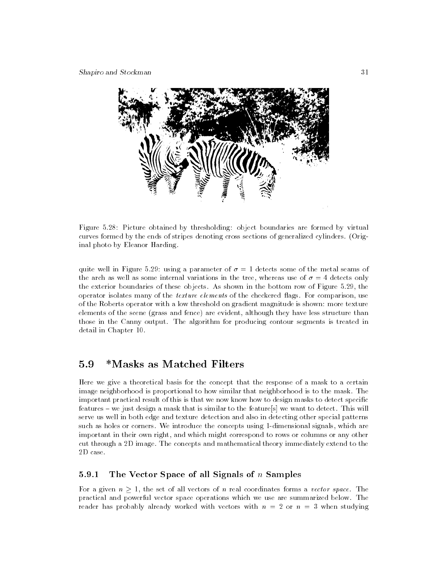

Figure 5.28: Picture obtained by thresholding: object boundaries are formed by virtual curves formed by the ends of stripes denoting cross sections of generalized cylinders. (Original photo by Eleanor Harding.

quite well in Figure 5.29: using a parameter of  $\sigma = 1$  detects some of the metal seams of the arch as well as some internal variations in the tree, whereas use of  $\sigma = 4$  detects only the exterior boundaries of these objects. As shown in the bottom row of Figure 5.29, the operator isolates many of the *texture elements* of the checkered flags. For comparison, use of the Roberts operator with a low threshold on gradient magnitude is shown: more texture elements of the scene (grass and fence) are evident, although they have less structure than those in the Canny output. The algorithm for producing contour segments is treated in detail in Chapter 10.

# 5.9 \*Masks as Matched Filters

Here we give a theoretical basis for the concept that the response of a mask to a certain image neighborhood is proportional to how similar that neighborhood is to the mask. The important practical result of this is that we now know how to design masks to detect specific features – we just design a mask that is similar to the feature s we want to detect. This will serve us well in both edge and texture detection and also in detecting other special patterns such as holes or corners. We introduce the concepts using 1-dimensional signals, which are important in their own right, and which might correspond to rows or columns or any other cut through a 2D image. The concepts and mathematical theory immediately extend to the  $2D$  case.

## 5.9.1 The Vector Space of all Signals of  $n$  Samples

For a given  $n > 1$ , the set of all vectors of n real coordinates forms a vector space. The practical and powerful vector space operations which we use are summarized below. The reader has probably already worked with vectors with  $n = 2$  or  $n = 3$  when studying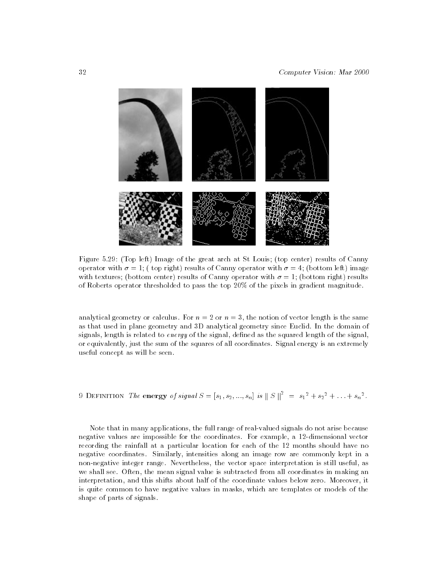

Figure 5.29: (Top left) Image of the great arch at St Louis; (top center) results of Canny operator with  $\sigma = 1$ ; (top right) results of Canny operator with  $\sigma = 4$ ; (bottom left) image with textures; (bottom center) results of Canny operator with  $\sigma = 1$ ; (bottom right) results of Roberts operator thresholded to pass the top 20% of the pixels in gradient magnitude.

analytical geometry or calculus. For  $n = 2$  or  $n = 3$ , the notion of vector length is the same as that used in plane geometry and 3D analytical geometry since Euclid. In the domain of signals, length is related to energy of the signal, defined as the squared length of the signal, or equivalently, just the sum of the squares of all coordinates. Signal energy is an extremely useful concept as will be seen.

9 **DEFINITION** The **energy** of signal 
$$
S = [s_1, s_2, ..., s_n]
$$
 is  $||S||^2 = s_1^2 + s_2^2 + ... + s_n^2$ .

Note that in many applications, the full range of real-valued signals do not arise because negative values are impossible for the coordinates. For example, a 12-dimensional vector recording the rainfall at a particular location for each of the 12 months should have no negative coordinates. Similarly, intensities along an image row are commonly kept in a non-negative integer range. Nevertheless, the vector space interpretation is still useful, as we shall see. Often, the mean signal value is subtracted from all coordinates in making an interpretation, and this shifts about half of the coordinate values below zero. Moreover, it is quite common to have negative values in masks, which are templates or models of the shape of parts of signals.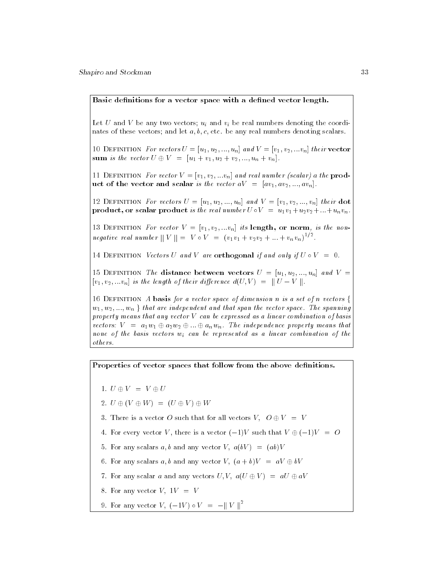Let U and V be any two vectors;  $u_i$  and  $v_i$  be real numbers denoting the coordinates of these vectors; and let  $a, b, c$ , etc. be any real numbers denoting scalars.

10 DEFINITION For vectors  $U = [u_1, u_2, ..., u_n]$  and  $V = [v_1, v_2, ... v_n]$  their vector sum is the vector  $U \oplus V = [u_1 + v_1, u_2 + v_2, ..., u_n + v_n].$ 

11 DEFINITION For vector  $V = [v_1, v_2, ... v_n]$  and real number (scalar) a the product of the vector and scalar is the vector  $aV = [av_1, av_2, ..., av_n]$ .

12 DEFINITION For vectors  $U = [u_1, u_2, ..., u_n]$  and  $V = [v_1, v_2, ..., v_n]$  their dot product, or scalar product is the real number  $U \circ V = u_1v_1+u_2v_2+...+u_nv_n$ .

13 DEFINITION For vector  $V = [v_1, v_2, ... v_n]$  its length, or norm, is the nonnegative real number  $||V|| = V \circ V = (v_1v_1 + v_2v_2 + ... + v_nv_n)^{-1}$ .

14 DEFINITION Vectors U and V are orthogonal if and only if  $U \circ V = 0$ .

15 DEFINITION The distance between vectors  $U = [u_1, u_2, ..., u_n]$  and  $V =$  $[v_1, v_2, ... v_n]$  is the length of their difference  $d(U, V) = ||U - V||$ .

16 DEFINITION A basis for a vector space of dimension n is a set of n vectors  $\{$  $w_1, w_2, ..., w_n$  that are independent and that span the vector space. The spanning property means that any vector <sup>V</sup> can be expressed as a linear combination of basis vectors:  $V = a_1w_1 \oplus a_2w_2 \oplus ... \oplus a_nw_n$ . The independence property means that none of the basis vectors  $w_i$  can be represented as a linear combination of the others.

Properties of vector spaces that follow from the above definitions.

- $\blacksquare$  . U we define the  $\blacksquare$
- 2. <sup>U</sup> (V W)=(U <sup>V</sup> ) <sup>W</sup>
- 3. There is a vector O such that for all vectors V,  $O \oplus V = V$
- 4. For every vector V, there is a vector  $(-1)V$  such that  $V \oplus (-1)V = O$
- 5. For any scalars a, b and any vector V,  $a(bV) = (ab)V$
- 6. For any scalars a, b and any vector V,  $(a + b)V = aV \oplus bV$
- 7. For any scalar a and any vectors U, V,  $a(U \oplus V) = aU \oplus aV$
- 8. For any vector  $V$ ,  $1V = V$
- 9. For any vector  $V, (-1V) \circ V = -||V||^2$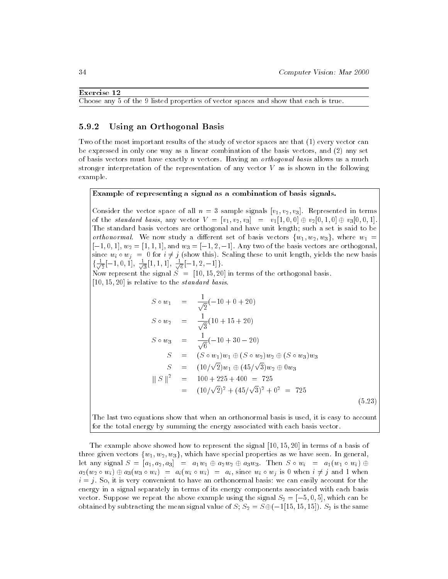### Exercise 12

Choose any 5 of the 9 listed properties of vector spaces and show that each is true.

### 5.9.2 Using an Orthogonal Basis

Two of the most important results of the study of vector spaces are that (1) every vector can be expressed in only one way as a linear combination of the basis vectors, and (2) any set of basis vectors must have exactly <sup>n</sup> vectors. Having an orthogonal basis allows us a much stronger interpretation of the representation of any vector  $V$  as is shown in the following example.

### Example of representing a signal as a combination of basis signals.

Consider the vector space of all  $n = 3$  sample signals  $[v_1, v_2, v_3]$ . Represented in terms of the standard basis, any vector  $V = [v_1, v_2, v_3] = v_1[1, 0, 0] \oplus v_2[0, 1, 0] \oplus v_3[0, 0, 1]$ . The standard basis vectors are orthogonal and have unit length; such a set is said to be orthonormal. We now study a different set of basis vectors  $\{w_1, w_2, w_3\}$ , where  $w_1 =$  $[-1, 0, 1], w_2 = [1, 1, 1],$  and  $w_3 = [-1, 2, -1].$  Any two of the basis vectors are orthogonal since  $w_i \circ w_j = 0$  for  $i \neq j$  (show this). Scaling these to unit length, yields the new basis 1  $\frac{1}{\sqrt{2}}$  |  $\frac{1}{2}$  |  $\frac{1}{2}$ [ $-1, 0, 1$ ],  $\frac{1}{\sqrt{3}}$ [ $1, 1$  $\frac{1}{3}$ [1, 1, 1],  $\frac{1}{\sqrt{6}}$ [ $-1$  $6r - 1 - 1$ 

Now represent the signal <sup>S</sup> = [10; 15; 20] in terms of the orthogonal basis.  $[10, 15, 20]$  is relative to the *standard basis*.

$$
S \circ w_1 = \frac{1}{\sqrt{2}}(-10 + 0 + 20)
$$
  
\n
$$
S \circ w_2 = \frac{1}{\sqrt{3}}(10 + 15 + 20)
$$
  
\n
$$
S \circ w_3 = \frac{1}{\sqrt{6}}(-10 + 30 - 20)
$$
  
\n
$$
S = (S \circ w_1)w_1 \oplus (S \circ w_2)w_2 \oplus (S \circ w_3)w_3
$$
  
\n
$$
S = (10/\sqrt{2})w_1 \oplus (45/\sqrt{3})w_2 \oplus 0w_3
$$
  
\n
$$
||S||^2 = 100 + 225 + 400 = 725
$$
  
\n
$$
= (10/\sqrt{2})^2 + (45/\sqrt{3})^2 + 0^2 = 725
$$
  
\n(5.23)

The last two equations show that when an orthonormal basis is used, it is easy to account for the total energy by summing the energy associated with each basis vector.

The example above showed how to represent the signal  $[10, 15, 20]$  in terms of a basis of three given vectors  $\{w_1, w_2, w_3\}$ , which have special properties as we have seen. In general, let any signal  $S = [a_1, a_2, a_3] = a_1w_1 \oplus a_2w_2 \oplus a_3w_3$ . Then  $S \circ w_i = a_1(w_1 \circ w_i) \oplus a_2w_3$  $a_2(w_2 \circ w_i) \oplus a_3(w_3 \circ w_i) = a_i(w_i \circ w_i) = a_i$ , since  $w_i \circ w_j$  is 0 when  $i \neq j$  and 1 when i = j. So, it is very convenient to have an orthonormal basis: we can easily account for the energy in a signal separately in terms of its energy components associated with each basis vector. Suppose we repeat the above example using the signal  $S_2 = [-5, 0, 5]$ , which can be obtained by subtracting the mean signal value of S;  $S_2 = S \oplus (-1[15, 15, 15])$ .  $S_2$  is the same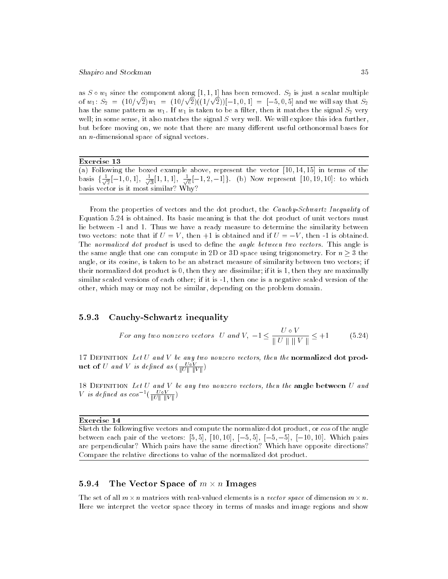as  $S \sim \omega_1$  since the component along  $\left[1, 1, 1\right]$  has been removed.  $\omega_2$  is just a scalar multiple of  $w_1: S_2 = (10/\sqrt{2})w_1 = (10/\sqrt{2})(1/\sqrt{2})[-1, 0, 1] = [-5, 0, 5]$  and we will say that  $S_2$ has the same pattern as  $w_1$ . If  $w_1$  is taken to be a filter, then it matches the signal  $S_2$  very well; in some sense, it also matches the signal S very well. We will explore this idea further, but before moving on, we note that there are many different useful orthonormal bases for an  $n$ -dimensional space of signal vectors.

| Exercise 13                                                                                                                                |
|--------------------------------------------------------------------------------------------------------------------------------------------|
| (a) Following the boxed example above, represent the vector $[10, 14, 15]$ in terms of the                                                 |
| basis $\{\frac{1}{\sqrt{2}}[-1,0,1], \frac{1}{\sqrt{3}}[1,1,1], \frac{1}{\sqrt{6}}[-1,2,-1]\}\$ . (b) Now represent [10, 19, 10]: to which |
| basis vector is it most similar? Why?                                                                                                      |

From the properties of vectors and the dot product, the Cauchy-Schwartz Inequality of Equation 5.24 is obtained. Its basic meaning is that the dot product of unit vectors must lie between -1 and 1. Thus we have a ready measure to determine the similarity between two vectors: note that if  $U = V$ , then +1 is obtained and if  $U = -V$ , then -1 is obtained. The normalized dot product is used to define the angle between two vectors. This angle is the same angle that one can compute in 2D or 3D space using trigonometry. For  $n \geq 3$  the angle, or its cosine, is taken to be an abstract measure of similarity between two vectors; if their normalized dot product is 0, then they are dissimilar; if it is 1, then they are maximally similar scaled versions of each other; if it is -1, then one is a negative scaled version of the other, which may or may not be similar, depending on the problem domain.

### 5.9.3 Cauchy-Schwartz inequality

For any two nonzero vectors U and V, 
$$
-1 \le \frac{U \circ V}{\|U\| \|V\|} \le +1
$$
 (5.24)

17 DEFINITION Let U and V be any two nonzero vectors, then the normalized dot prod**uct of**  $U$  and  $V$  is defined as  $\left(\frac{1}{\|U\| \cdot \|V\|}\right)$ 

18 Definition Let <sup>U</sup> and <sup>V</sup> be any two nonzero vectors, then the angle between <sup>U</sup> and *V* is defined as cos  $\overline{\text{U} \text{U} \text{V}}$ 

### Exercise 14

Sketch the following five vectors and compute the normalized dot product, or cos of the angle between each pair of the vectors:  $[5,5]$ ,  $[10,10]$ ,  $[-5,5]$ ,  $[-5,-5]$ ,  $[-10,10]$ . Which pairs are perpendicular? Which pairs have the same direction? Which have opposite directions? Compare the relative directions to value of the normalized dot product.

#### 5.9.4 5.9.4 The Vector Space of <sup>m</sup> - <sup>n</sup> Images

The set of all  $m \wedge n$  matrices with real-valued elements is a vector space of dimension  $m \wedge n$ . Here we interpret the vector space theory in terms of masks and image regions and show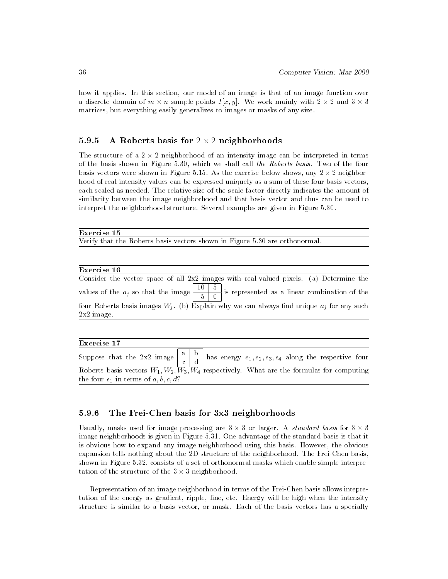how it applies. In this section, our model of an image is that of an image function over a discrete domain of  $m \times n$  sample points  $I[x, y]$ . We work mainly with  $2 \times 2$  and  $3 \times 3$ matrices, but everything easily generalizes to images or masks of any size.

### 5.9.5 A Roberts basis for <sup>2</sup> - <sup>2</sup> neighborhoods

The structure of a 2 - 2 neighborhood of an intensity image can be interpreted in terms of the basis shown in Figure 5.30, which we shall call the Roberts basis. Two of the four basis vectors were shown in Figure 5.15. As the exercise below shows, any 2 - 2 neighborhood of real intensity values can be expressed uniquely as a sum of these four basis vectors, each scaled as needed. The relative size of the scale factor directly indicates the amount of similarity between the image neighborhood and that basis vector and thus can be used to interpret the neighborhood structure. Several examples are given in Figure 5.30.

### Exercise 15

Verify that the Roberts basis vectors shown in Figure 5.30 are orthonormal.

| Exercise. |  |
|-----------|--|
|           |  |

| Consider the vector space of all 2x2 images with real-valued pixels. (a) Determine the         |  |
|------------------------------------------------------------------------------------------------|--|
|                                                                                                |  |
| four Roberts basis images $W_i$ . (b) Explain why we can always find unique $a_i$ for any such |  |
| $2x2$ image.                                                                                   |  |

### Exercise 17

|                                        |  | Roberts basis vectors $W_1, W_2, W_3, W_4$ respectively. What are the formulas for computing |
|----------------------------------------|--|----------------------------------------------------------------------------------------------|
| the four $e_1$ in terms of a, b, c, d? |  |                                                                                              |

### 5.9.6 The Frei-Chen basis for 3x3 neighborhoods

Usually, masks used for image processing are 3 - 3 or larger. A standard basis for 3 - 3 image neighborhoods is given in Figure 5.31. One advantage of the standard basis is that it is obvious how to expand any image neighborhood using this basis. However, the obvious expansion tells nothing about the 2D structure of the neighborhood. The Frei-Chen basis, shown in Figure 5.32, consists of a set of orthonormal masks which enable simple interpretation of the structure of the 3 - 3 neighborhood. The 3 - 3 neighborhood. The 3 - 3 neighborhood. The 3 - 3 neighborhood. The 3 - 3 neighborhood. The 3 - 3 neighborhood. The 3 - 3 neighborhood. The 3 - 3 neighborhood. The

Representation of an image neighborhood in terms of the Frei-Chen basis allows intepretation of the energy as gradient, ripple, line, etc. Energy will be high when the intensity structure is similar to a basis vector, or mask. Each of the basis vectors has a specially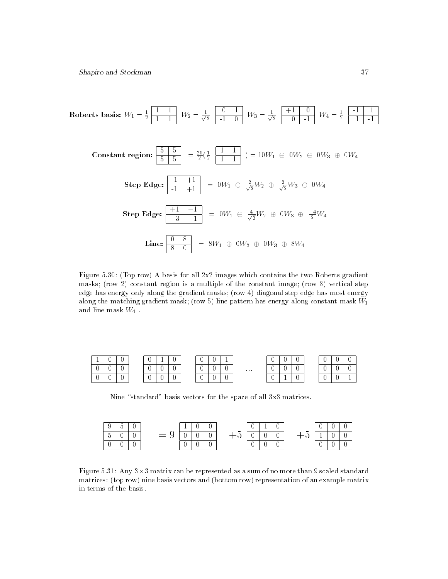Roberts basis: 
$$
W_1 = \frac{1}{2} \begin{bmatrix} 1 & 1 \ 1 & 1 \end{bmatrix}
$$
  $W_2 = \frac{1}{\sqrt{2}} \begin{bmatrix} 0 & 1 \ -1 & 0 \end{bmatrix}$   $W_3 = \frac{1}{\sqrt{2}} \begin{bmatrix} +1 & 0 \ 0 & -1 \end{bmatrix}$   $W_4 = \frac{1}{2} \begin{bmatrix} -1 & 1 \ 1 & -1 \end{bmatrix}$   
\nConstant region:  $\begin{bmatrix} 5 & 5 \ 5 & 5 \end{bmatrix} = \frac{20}{2} (\frac{1}{2} \begin{bmatrix} 1 & 1 \ 1 & 1 \end{bmatrix}) = 10W_1 \oplus 0W_2 \oplus 0W_3 \oplus 0W_4$   
\nStep Edge:  $\begin{bmatrix} -1 & +1 \ -1 & +1 \end{bmatrix} = 0W_1 \oplus \frac{2}{\sqrt{2}}W_2 \oplus \frac{2}{\sqrt{2}}W_3 \oplus 0W_4$   
\nStep Edge:  $\begin{bmatrix} +1 & +1 \ -3 & +1 \end{bmatrix} = 0W_1 \oplus \frac{4}{\sqrt{2}}W_2 \oplus 0W_3 \oplus \frac{-4}{2}W_4$   
\nLine:  $\begin{bmatrix} 0 & 8 \ 8 & 0 \end{bmatrix} = 8W_1 \oplus 0W_2 \oplus 0W_3 \oplus 8W_4$ 

Figure 5.30: (Top row) A basis for all 2x2 images which contains the two Roberts gradient masks; (row 2) constant region is a multiple of the constant image; (row 3) vertical step edge has energy only along the gradient masks; (row 4) diagonal step edge has most energy along the matching gradient mask; (row ) line pattern has energy along constant mask  $W_1$ and line mask  $W_4$ .

|   |   |  | v | <b>.</b> |             |  | $\sim$ |   |          | 0 |          |  | ◡            |              |  |
|---|---|--|---|----------|-------------|--|--------|---|----------|---|----------|--|--------------|--------------|--|
| v |   |  | ν |          |             |  |        |   | $\ldots$ | U |          |  | ◡            |              |  |
| ν | v |  | v | 0        | $\mathbf v$ |  | ν      | v |          | υ | <b>.</b> |  | $\checkmark$ | $\checkmark$ |  |

Nine "standard" basis vectors for the space of all 3x3 matrices.



Figure 5.31: Any 3-3 matrix can be represented as a sum of no more than 9 scaled standard matrices: (top row) nine basis vectors and (bottom row) representation of an example matrix in terms of the basis.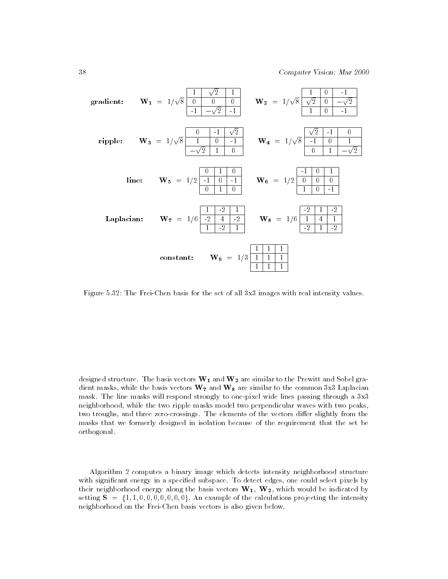

Figure 5.32: The Frei-Chen basis for the set of all 3x3 images with real intensity values.

designed structure. The basis vectors  $\mathbf{W_{1}}$  and  $\mathbf{W_{2}}$  are similar to the Prewitt and Sobel gradient masks, while the basis vectors  $\mathbf{W}_7$  and  $\mathbf{W}_8$  are similar to the common 3x3 Laplacian mask. The line masks will respond strongly to one-pixel wide lines passing through a 3x3 neighborhood, while the two ripple masks model two perpendicular waves with two peaks, two troughs, and three zero-crossings. The elements of the vectors differ slightly from the masks that we formerly designed in isolation because of the requirement that the set be orthogonal.

Algorithm 2 computes a binary image which detects intensity neighborhood structure with signicant energy in a specied subspace. To detect edges, one could select pixels by their neighborhood energy along the basis vectors  $W_1$ ,  $W_2$ , which would be indicated by setting  $S = \{1, 1, 0, 0, 0, 0, 0, 0, 0\}$ . An example of the calculations projecting the intensity neighborhood on the Frei-Chen basis vectors is also given below.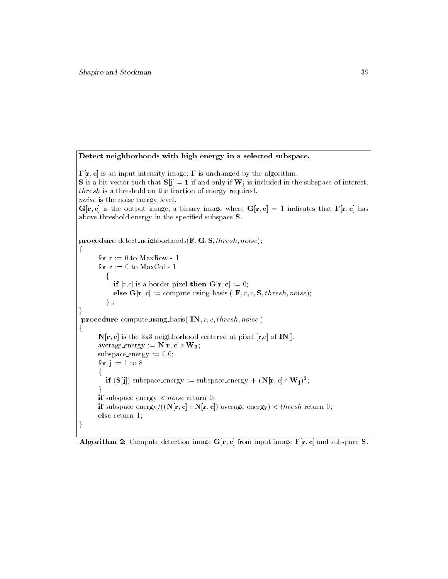Detect neighborhoods with high energy in a selected subspace.  **is an input intensity image; <b>F** is unchanged by the algorithm. **S** is a bit vector such that  $S[j] = 1$  if and only if  $W_i$  is included in the subspace of interest. thresh is a threshold on the fraction of energy required. noise is the noise energy level.  $G[r, c]$  is the output image, a binary image where  $G[r, c] = 1$  indicates that  $F[r, c]$  has above threshold energy in the specified subspace  $S$ . procedure detect\_neighborhoods( $\mathbf{F}, \mathbf{G}, \mathbf{S}, thresh, noise$ ); f for  $r := 0$  to MaxRow - 1 for  $c := 0$  to MaxCol - 1 f if  $[r,c]$  is a border pixel then  $G[r,c] := 0;$ else  $G[r, c] :=$  compute using basis ( $F, r, c, S, thresh, noise$ );  $\}$ ; and the contract of the contract of the contract of the contract of the contract of the contract of the contract of procedure compute\_using\_basis( $IN, r, c, threshold, noise$ ) for the contract of the contract of the  $N[r, c]$  is the 3x3 neighborhood centered at pixel  $[r, c]$  of IN[]. average energy  $:= \mathbf{N}[\mathbf{r}, \mathbf{c}] \circ \mathbf{W}_{9};$ subspace energy  $:= 0.0$ ; for  $i := 1$  to 8 f  $\mathbf{u}$  (S[]]) subspace\_energy := subspace\_energy  $+$  (N[r, c]  $\circ$  W; j]; graduate the contract of the contract of if subspace\_energy  $\langle$  noise return 0; **if** subspace energy/((IV[r; c]  $\circ$  IV[r; c])-average energy)  $\lt$  *thresh* return 0; else return 1; and the contract of the contract of the contract of the contract of the contract of the contract of the contract of

Algorithm 2: Compute detection image  $G[r, c]$  from input image  $F[r, c]$  and subspace S.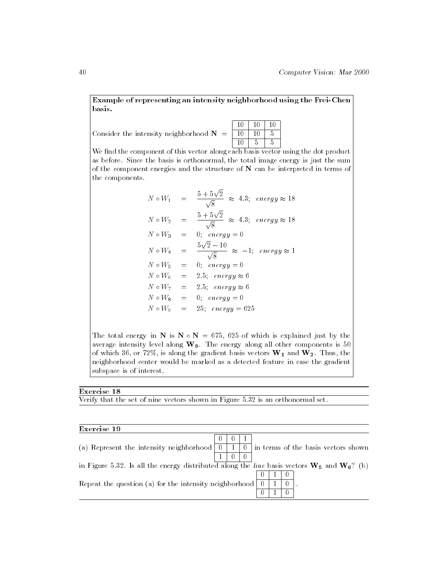Example of representing an intensity neighborhood using the Frei-Chen basis.

Consider the intensity neighborhood  $N = \boxed{10}$ 

10 10 10 10 10 5  $10 \mid 5 \mid 5$ 

We find the component of this vector along each basis vector using the dot product as before. Since the basis is orthonormal, the total image energy is just the sum of the component energies and the structure of N can be interpreted in terms of the components.

| $N \circ W_1$   |            | $\frac{5+5\sqrt{2}}{\sqrt{2}} \approx 4.3; \text{ energy} \approx 18$        |
|-----------------|------------|------------------------------------------------------------------------------|
| $N \circ W_2$   |            | $\frac{5+5\sqrt{2}}{\sqrt{2}} \,\,\approx\,\, 4.3 ; \  \  energy \approx 18$ |
| $N \circ W_3 =$ |            | 0; $energy = 0$                                                              |
| $N \circ W_4$   |            | $5\sqrt{2} - 10$<br>$\frac{1}{\sqrt{8}}$ $\approx$ $-1$ ; energy $\approx$ 1 |
| $N \circ W_5$   | $\alpha =$ | 0; $energy = 0$                                                              |
| $N \circ W_6 =$ |            | 2.5; energy $\approx 6$                                                      |
|                 |            | $N \circ W_7 = 2.5$ ; energy $\approx 6$                                     |
| $N \circ W_8 =$ |            | 0; $energy = 0$                                                              |
| $N \circ W_0$   | $=$        | 25; $energy = 625$                                                           |

The total energy in N is N  $\circ$  N = 675, 625 of which is explained just by the average intensity level along  $W_9$ . The energy along all other components is 50 of which 36, or 72%, is along the gradient basis vectors  $W_1$  and  $W_2$ . Thus, the neighborhood center would be marked as a detected feature in case the gradient subspace is of interest.

| Exercise |  |
|----------|--|
|          |  |

Verify that the set of nine vectors shown in Figure 5.32 is an orthonormal set.

| Exercise 19                                                                                             |  |    |    |  |                                     |
|---------------------------------------------------------------------------------------------------------|--|----|----|--|-------------------------------------|
|                                                                                                         |  |    |    |  |                                     |
| (a) Represent the intensity neighborhood $\vert 0 \vert$                                                |  | -0 |    |  | in terms of the basis vectors shown |
|                                                                                                         |  |    |    |  |                                     |
| in Figure 5.32. Is all the energy distributed along the <i>line</i> basis vectors $W_5$ and $W_6$ ? (b) |  |    |    |  |                                     |
|                                                                                                         |  |    |    |  |                                     |
| Repeat the question (a) for the intensity neighborhood                                                  |  |    | -0 |  |                                     |
|                                                                                                         |  |    |    |  |                                     |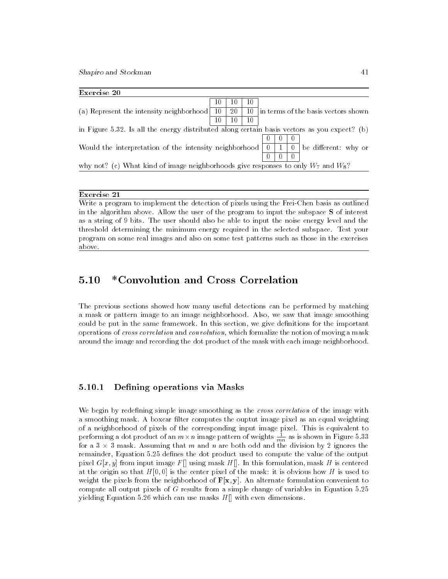| Exercise 20                                                                                  |     |    |    |    |  |                                     |
|----------------------------------------------------------------------------------------------|-----|----|----|----|--|-------------------------------------|
|                                                                                              | 10  | 10 | 10 |    |  |                                     |
| (a) Represent the intensity neighborhood                                                     | -10 | 20 | 10 |    |  | in terms of the basis vectors shown |
|                                                                                              | 10  |    | 10 |    |  |                                     |
| in Figure 5.32. Is all the energy distributed along certain basis vectors as you expect? (b) |     |    |    |    |  |                                     |
|                                                                                              |     |    |    |    |  |                                     |
| Would the interpretation of the intensity neighborhood                                       |     |    |    | -0 |  | be different: why or                |
|                                                                                              |     |    |    |    |  |                                     |
| why not? (c) What kind of image neighborhoods give responses to only $W_7$ and $W_8$ ?       |     |    |    |    |  |                                     |
|                                                                                              |     |    |    |    |  |                                     |

# 5.10 \*Convolution and Cross Correlation

The previous sections showed how many useful detections can be performed by matching a mask or pattern image to an image neighborhood. Also, we saw that image smoothing could be put in the same framework. In this section, we give definitions for the important operations of cross correlation and convolution, which formalize the notion of moving a mask around the image and recording the dot product of the mask with each image neighborhood.

### 5.10.1 Defining operations via Masks

We begin by redefining simple image smoothing as the *cross correlation* of the image with a smoothing mask. A boxcar filter computes the ouptut image pixel as an equal weighting of a neighborhood of pixels of the corresponding input image pixel. This is equivalent to performing a dot product of an  $m\times n$  image pattern of weights  $\frac{1}{mn}$  as is shown in Figure 5.33 for a 3 - 3 masket from and that me and n are both odd and the division by 2 ignores the 20 remainder, Equation 5.25 defines the dot product used to compute the value of the output pixel  $G[x, y]$  from input image F[] using mask H[]. In this formulation, mask H is centered at the origin so that  $H[0,0]$  is the center pixel of the mask: it is obvious how H is used to weight the pixels from the neighborhood of  $F[x, y]$ . An alternate formulation convenient to compute all output pixels of  $G$  results from a simple change of variables in Equation  $5.25$ yielding Equation 5.26 which can use masks  $H[]$  with even dimensions.

Exercise 21

Write a program to implement the detection of pixels using the Frei-Chen basis as outlined in the algorithm above. Allow the user of the program to input the subspace S of interest as a string of 9 bits. The user should also be able to input the noise energy level and the threshold determining the minimum energy required in the selected subspace. Test your program on some real images and also on some test patterns such as those in the exercises above.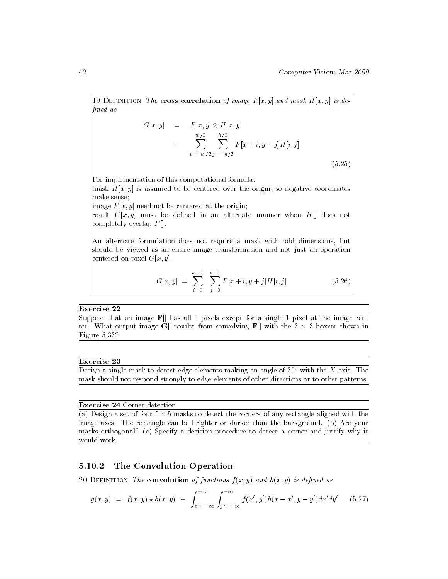19 DEFINITION The cross correlation of image  $F[x, y]$  and mask  $H[x, y]$  is defined as

$$
G[x, y] = F[x, y] \otimes H[x, y]
$$
  
= 
$$
\sum_{i=-w/2}^{w/2} \sum_{j=-h/2}^{h/2} F[x+i, y+j]H[i, j]
$$
  
(5.25)

For implementation of this computational formula: mask  $H[x, y]$  is assumed to be centered over the origin, so negative coordinates make sense;

image  $F[x, y]$  need not be centered at the origin;

result  $G[x, y]$  must be defined in an alternate manner when  $H[\]$  does not completely overlap  $F[]$ .

An alternate formulation does not require a mask with odd dimensions, but should be viewed as an entire image transformation and not just an operation centered on pixel  $G[x, y]$ .

$$
G[x, y] = \sum_{i=0}^{w-1} \sum_{j=0}^{h-1} F[x+i, y+j] H[i, j] \qquad (5.26)
$$

### Exercise 22

Suppose that an image  $\mathbf{F}[]$  has all 0 pixels except for a single 1 pixel at the image center. When output is found from convolving  $\Box$  and  $\Box$  with the 3 -  $\Box$  with the 3 -  $\Box$ Figure 5.33?

### Exercise 23

Design a single mask to detect edge elements making an angle of  $30^0$  with the X-axis. The mask should not respond strongly to edge elements of other directions or to other patterns.

### Exercise 24 Corner detection

(a) Design a set of four 5 - 5 masks to detect the corners of any rectangle aligned with the image axes. The rectangle can be brighter or darker than the background. (b) Are your masks orthogonal? (c) Specify a decision procedure to detect a corner and justify why it would work.

#### The Convolution Operation 5.10.2

20 DEFINITION The convolution of functions  $f(x, y)$  and  $h(x, y)$  is defined as

$$
g(x,y) = f(x,y) \star h(x,y) \equiv \int_{x'=-\infty}^{+\infty} \int_{y'=-\infty}^{+\infty} f(x',y')h(x-x',y-y')dx'dy' \qquad (5.27)
$$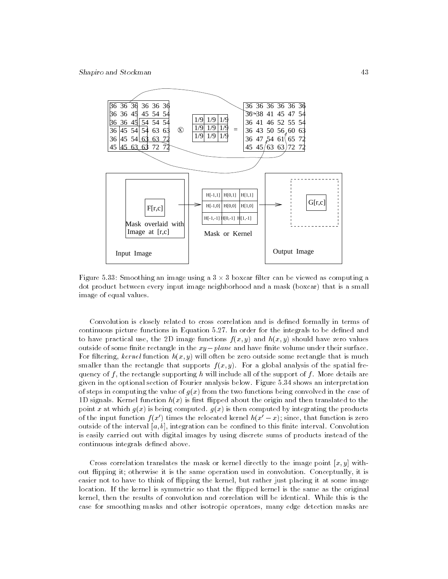

 $\mathcal{A}$  and  $\mathcal{A}$  and  $\mathcal{A}$  -  $\mathcal{A}$  -  $\mathcal{A}$  -  $\mathcal{A}$  -  $\mathcal{A}$  -  $\mathcal{A}$  -  $\mathcal{A}$  -  $\mathcal{A}$  -  $\mathcal{A}$  -  $\mathcal{A}$  -  $\mathcal{A}$  -  $\mathcal{A}$  -  $\mathcal{A}$  -  $\mathcal{A}$  -  $\mathcal{A}$  -  $\mathcal{A}$  -  $\mathcal{A}$  -  $\mathcal{A}$ dot product between every input image neighborhood and a mask (boxcar) that is a small image of equal values.

Convolution is closely related to cross correlation and is defined formally in terms of continuous picture functions in Equation 5.27. In order for the integrals to be defined and to have practical use, the 2D image functions  $f(x, y)$  and  $h(x, y)$  should have zero values outside of some finite rectangle in the  $xy$  - plane and have finite volume under their surface. For filtering, kernel function  $h(x, y)$  will often be zero outside some rectangle that is much smaller than the rectangle that supports  $f(x, y)$ . For a global analysis of the spatial frequency of f, the rectangle supporting h will include all of the support of f. More details are given in the optional section of Fourier analysis below. Figure 5.34 shows an interpretation of steps in computing the value of  $q(x)$  from the two functions being convolved in the case of 1D signals. Kernel function  $h(x)$  is first flipped about the origin and then translated to the point x at which  $q(x)$  is being computed.  $q(x)$  is then computed by integrating the products of the input function  $f(x')$  times the relocated kernel  $h(x'-x)$ ; since, that function is zero outside of the interval  $[a, b]$ , integration can be confined to this finite interval. Convolution is easily carried out with digital images by using discrete sums of products instead of the continuous integrals defined above.

Cross correlation translates the mask or kernel directly to the image point  $[x, y]$  without 
ipping it; otherwise it is the same operation used in convolution. Conceptually, it is easier not to have to think of flipping the kernel, but rather just placing it at some image location. If the kernel is symmetric so that the flipped kernel is the same as the original kernel, then the results of convolution and correlation will be identical. While this is the case for smoothing masks and other isotropic operators, many edge detection masks are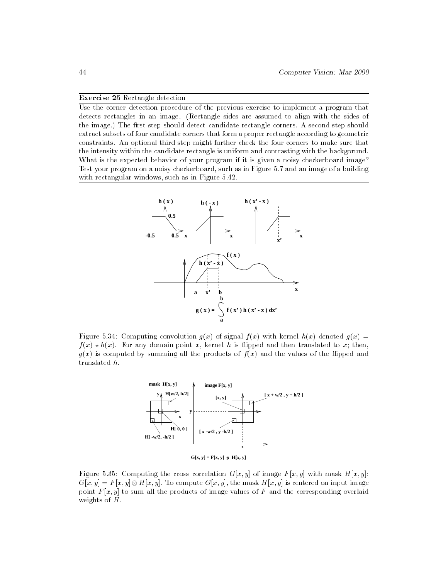### Exercise 25 Rectangle detection

Use the corner detection procedure of the previous exercise to implement a program that detects rectangles in an image. (Rectangle sides are assumed to align with the sides of the image.) The first step should detect candidate rectangle corners. A second step should extract subsets of four candidate corners that form a proper rectangle according to geometric constraints. An optional third step might further check the four corners to make sure that the intensity within the candidate rectangle is uniform and contrasting with the backgorund. What is the expected behavior of your program if it is given a noisy checkerboard image? Test your program on a noisy checkerboard, such as in Figure 5.7 and an image of a building with rectangular windows, such as in Figure 5.42.



Figure 5.34: Computing convolution  $g(x)$  of signal  $f(x)$  with kernel  $h(x)$  denoted  $g(x)$  =  $f(x) \times h(x)$ . For any domain point x, kerner *h* is impped and then translated to x, then,  $g(x)$  is computed by summing all the products of  $f(x)$  and the values of the flipped and translated h.



Figure 5.35: Computing the cross correlation  $G[x, y]$  of image  $F[x, y]$  with mask  $H[x, y]$ :  $G[x, y] = F[x, y] \otimes H[x, y]$ . To compute  $G[x, y]$ , the mask H  $[x, y]$  is centered on input image point  $F[x, y]$  to sum all the products of image values of F and the corresponding overlaid weights of H.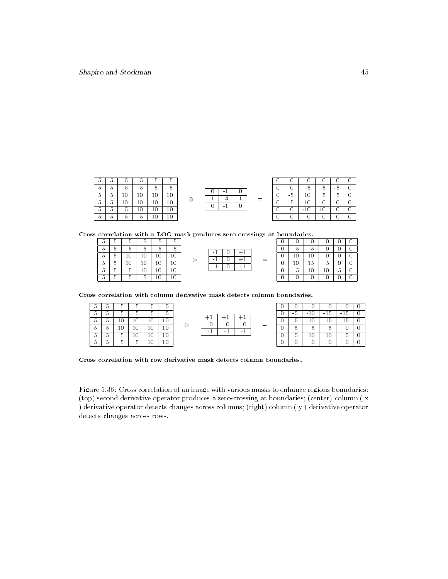| Ð      | л | h      | 5        |   | 5 |
|--------|---|--------|----------|---|---|
| b      | h | h      | b        |   | 5 |
| $10\,$ | C | 10     | $\bf{0}$ |   | 5 |
| 10     | 0 | $10\,$ | 0        | 5 | 5 |
| 10     |   | 10     | 5        |   | 5 |
| 0      |   | 5      | 5        |   | 5 |
|        |   |        |          |   |   |

| r. | n |   |  |
|----|---|---|--|
|    |   |   |  |
|    |   | ═ |  |
|    |   |   |  |
|    |   |   |  |
|    |   |   |  |

| 0 |     | $-5$  | $-5$ | - 5 |  |
|---|-----|-------|------|-----|--|
|   | - 5 | 10    | 5    | 5   |  |
|   | - 5 | 10    |      |     |  |
|   |     | $-10$ | 10   |     |  |
|   |     |       |      |     |  |

Cross correlation with a LOG mask produces zero-crossings at boundaries.

| 5 | 5 | 5  | 5  | 5  | 5  |
|---|---|----|----|----|----|
| 5 | 5 | 5  | 5  | 5  | 5  |
| 5 | 5 | 10 | 10 | 10 | 10 |
| 5 | 5 | 10 | 10 | 10 | 10 |
| 5 | 5 | 5  | 10 | 10 | 10 |
| 5 | 5 | 5  | 5  | 10 | 10 |

|  | ٠ |   |  |
|--|---|---|--|
|  |   |   |  |
|  |   | ⋍ |  |
|  | ٠ |   |  |
|  |   |   |  |
|  |   |   |  |
|  |   |   |  |

|   | .  |    |    |   |  |  |  |  |  |  |
|---|----|----|----|---|--|--|--|--|--|--|
| 0 |    |    | 0  | 0 |  |  |  |  |  |  |
| 0 | 5  | 5  | 0  | 0 |  |  |  |  |  |  |
| 0 | 10 | 10 | O  | 0 |  |  |  |  |  |  |
| 0 | 10 | 15 | 5  | 0 |  |  |  |  |  |  |
| 0 | 5  | 10 | 10 | 5 |  |  |  |  |  |  |
| 0 |    |    |    | 0 |  |  |  |  |  |  |

Cross correlation with column derivative mask detects column boundaries.

| 5 | 5 | 5      | 5  | 5  | 5  |  |
|---|---|--------|----|----|----|--|
| 5 | 5 | 5      | 5  | 5  | 5  |  |
| 5 | 5 | 10     | 10 | 10 | 10 |  |
| 5 | 5 | $10\,$ | 10 | 10 | 10 |  |
| 5 | 5 | 5      | 10 | 10 | 10 |  |
| 5 | 5 | 5      | 5  | 10 | 10 |  |

| ┷ |  |     |      | $-10$ |  |
|---|--|-----|------|-------|--|
|   |  |     | $-5$ | $-10$ |  |
|   |  | $=$ | 5    |       |  |
|   |  |     |      | 10    |  |
|   |  |     |      |       |  |

| 0 | 0   |       | O              |       |  |
|---|-----|-------|----------------|-------|--|
| O | - 5 | $-10$ | $-15$          | $-15$ |  |
| O | - 5 | $-10$ | $-15$          | $-15$ |  |
| O | 5   | 5     | $\overline{5}$ |       |  |
| O | 5   | 10    | 10             | 5     |  |
|   |     |       |                |       |  |

Cross correlation with row derivative mask detects column boundaries.

Figure 5.36: Cross correlation of an image with various masks to enhance regions boundaries: (top) second derivative operator produces a zero-crossing at boundaries; (center) column ( x ) derivative operator detects changes across columns; (right) column ( y ) derivative operator detects changes across rows.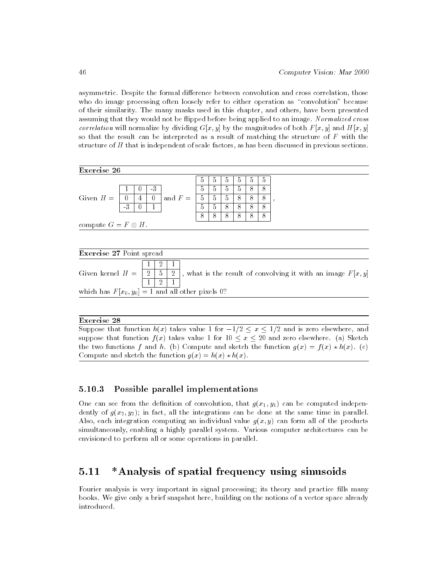asymmetric. Despite the formal difference between convolution and cross correlation, those who do image processing often loosely refer to either operation as "convolution" because of their similarity. The many masks used in this chapter, and others, have been presented assuming that they would not be flipped before being applied to an image. Normalized cross correlation will normalize by dividing  $G[x, y]$  by the magnitudes of both  $F[x, y]$  and  $H[x, y]$ so that the result can be interpreted as a result of matching the structure of  $F$  with the structure of <sup>H</sup> that is independent of scale factors, as has been discussed in previous sections.



which has  $F[x_0, y_0] = 1$  and all other pixels 0?

### Exercise 28

Suppose that function  $h(x)$  takes value 1 for  $-1/2 \le x \le 1/2$  and is zero elsewhere, and suppose that function  $f(x)$  takes value 1 for  $10 \le x \le 20$  and zero elsewhere. (a) Sketch the two functions f and h. (b) Compute and sketch the function  $g(x) = f(x) * h(x)$ . (c) Compute and sketch the function  $q(x) = h(x) \star h(x)$ .

### 5.10.3 Possible parallel implementations

One can see from the definition of convolution, that  $g(x_1, y_1)$  can be computed independently of  $g(x_2, y_2)$ ; in fact, all the integrations can be done at the same time in parallel. Also, each integration computing an individual value  $g(x, y)$  can form all of the products simultaneously, enabling a highly parallel system. Various computer architectures can be envisioned to perform all or some operations in parallel.

# 5.11 \*Analysis of spatial frequency using sinusoids

Fourier analysis is very important in signal processing; its theory and practice fills many books. We give only a brief snapshot here, building on the notions of a vector space already introduced.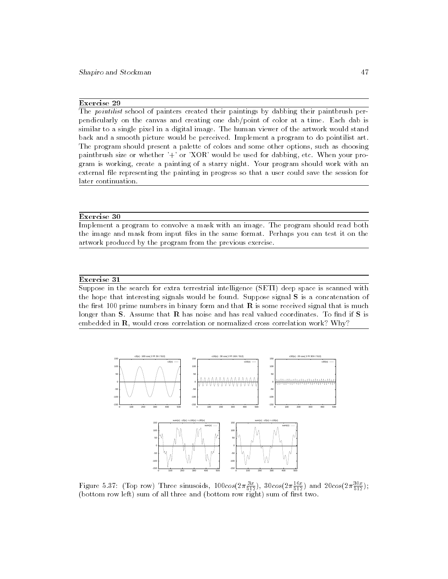### Exercise 29

The *pointilist* school of painters created their paintings by dabbing their paintbrush perpendicularly on the canvas and creating one dab/point of color at a time. Each dab is similar to a single pixel in a digital image. The human viewer of the artwork would stand back and a smooth picture would be perceived. Implement a program to do pointilist art. The program should present a palette of colors and some other options, such as choosing paintbrush size or whether '+' or 'XOR' would be used for dabbing, etc. When your program is working, create a painting of a starry night. Your program should work with an external file representing the painting in progress so that a user could save the session for later continuation.

### Exercise 30

Implement a program to convolve a mask with an image. The program should read both the image and mask from input files in the same format. Perhaps you can test it on the artwork produced by the program from the previous exercise.

### Exercise 31

Suppose in the search for extra terrestrial intelligence (SETI) deep space is scanned with the hope that interesting signals would be found. Suppose signal S is a concatenation of the first 100 prime numbers in binary form and that  **is some received signal that is much** longer than  $S$ . Assume that  $R$  has noise and has real valued coordinates. To find if  $S$  is embedded in R, would cross correlation or normalized cross correlation work? Why?



Figure 5.37: (Top row) Three sinusoids,  $100cos(2\pi \frac{1}{512})$ ,  $30cos(2\pi \frac{1}{512})$  and  $20cos(2\pi \frac{1}{512})$ ; (bottom row left) sum of all three and (bottom row right) sum of rst two.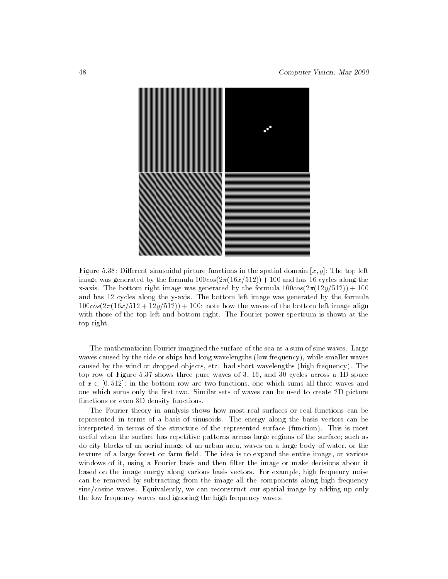

Figure 5.38: Different sinusoidal picture functions in the spatial domain  $[x, y]$ : The top left image was generated by the formula  $100\cos(2\pi(16x/512)) + 100$  and has 16 cycles along the x-axis. The bottom right image was generated by the formula  $100cos(2\pi(12y/512)) + 100$ and has 12 cycles along the y-axis. The bottom left image was generated by the formula  $100\cos(2\pi(16x/512 + 12y/512)) + 100$ : note how the waves of the bottom left image align with those of the top left and bottom right. The Fourier power spectrum is shown at the top right.

The mathematician Fourier imagined the surface of the sea as a sum of sine waves. Large waves caused by the tide or ships had long wavelengths (low frequency), while smaller waves caused by the wind or dropped objects, etc. had short wavelengths (high frequency). The top row of Figure 5.37 shows three pure waves of 3, 16, and 30 cycles across a 1D space of <sup>x</sup> 2 [0; 512]: in the bottom row are two functions, one which sums all three waves and one which sums only the first two. Similar sets of waves can be used to create 2D picture functions or even 3D density functions.

The Fourier theory in analysis shows how most real surfaces or real functions can be represented in terms of a basis of sinusoids. The energy along the basis vectors can be interpreted in terms of the structure of the represented surface (function). This is most useful when the surface has repetitive patterns across large regions of the surface; such as do city blocks of an aerial image of an urban area, waves on a large body of water, or the texture of a large forest or farm field. The idea is to expand the entire image, or various windows of it, using a Fourier basis and then filter the image or make decisions about it based on the image energy along various basis vectors. For example, high frequency noise can be removed by subtracting from the image all the components along high frequency sine/cosine waves. Equivalently, we can reconstruct our spatial image by adding up only the low frequency waves and ignoring the high frequency waves.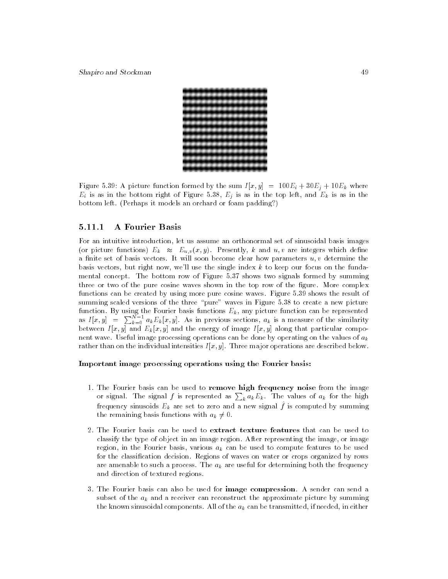

Figure 5.39: A picture function formed by the sum  $I[x, y] = 100E_i + 30E_j + 10E_k$  where  $E_i$  is as in the bottom right of Figure 5.38,  $E_j$  is as in the top left, and  $E_k$  is as in the bottom left. (Perhaps it models an orchard or foam padding?)

### 5.11.1 A Fourier Basis

For an intuitive introduction, let us assume an orthonormal set of sinusoidal basis images (or picture functions)  $E_k \approx E_{u,v}(x, y)$ . Presently, k and u, v are integers which define a finite set of basis vectors. It will soon become clear how parameters  $u, v$  determine the basis vectors, but right now, we'll use the single index <sup>k</sup> to keep our focus on the funda mental concept. The bottom row of Figure 5.37 shows two signals formed by summing three or two of the pure cosine waves shown in the top row of the figure. More complex functions can be created by using more pure cosine waves. Figure 5.39 shows the result of summing scaled versions of the three "pure" waves in Figure 5.38 to create a new picture function. By using the Fourier basis functions  $E_k$ , any picture function can be represented as  $I[x, y] = \sum_{k=0}^{N-1} a_k E_k[x, y]$ . As in previous sections,  $a_k$  is a measure of the similarity between  $I[x, y]$  and  $E_k[x, y]$  and the energy of image  $I[x, y]$  along that particular component wave. Useful image processing operations can be done by operating on the values of  $a_k$ rather than on the individual intensities  $I[x, y]$ . Three major operations are described below.

### Important image processing operations using the Fourier basis:

- 1. The Fourier basis can be used to remove high frequency noise from the image or signal. The signal f is represented as  $\sum_k a_k E_k$ . The values of  $a_k$  for the high frequency sinusoids  $E_k$  are set to zero and a new signal  $f$  is computed by summing the remaining basis functions with  $a_k \neq 0$ .
- 2. The Fourier basis can be used to extract texture features that can be used to classify the type of object in an image region. After representing the image, or image region, in the Fourier basis, various  $a_k$  can be used to compute features to be used for the classification decision. Regions of waves on water or crops organized by rows are amenable to such a process. The  $a_k$  are useful for determining both the frequency and direction of textured regions.
- 3. The Fourier basis can also be used for image compression. A sender can send a subset of the  $a_k$  and a receiver can reconstruct the approximate picture by summing the known sinusoidal components. All of the  $a_k$  can be transmitted, if needed, in either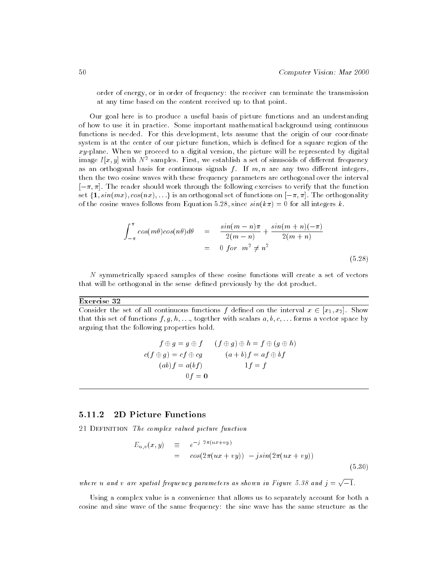order of energy, or in order of frequency: the receiver can terminate the transmission at any time based on the content received up to that point.

Our goal here is to produce a useful basis of picture functions and an understanding of how to use it in practice. Some important mathematical background using continuous functions is needed. For this development, lets assume that the origin of our coordinate system is at the center of our picture function, which is defined for a square region of the  $xy$ -plane. When we proceed to a digital version, the picture will be represented by digital image  $I(x, y)$  with  $N^{\pm}$  samples. First, we establish a set of sinusoids of different frequency as an orthogonal basis for continuous signals  $f$ . If  $m, n$  are any two different integers, then the two cosine waves with these frequency parameters are orthogonal over the interval  $[-\pi, \pi]$ . The reader should work through the following exercises to verify that the function set  $\{1, \sin(mx), \cos(nx), \ldots\}$  is an orthogonal set of functions on  $[-\pi, \pi]$ . The orthogonality of the cosine waves follows from Equation 5.28, since  $sin(k\pi) = 0$  for all integers k.

$$
\int_{-\pi}^{\pi} \cos(m\theta)\cos(n\theta)d\theta = \frac{\sin(m-n)\pi}{2(m-n)} + \frac{\sin(m+n)(-\pi)}{2(m+n)}
$$
  
= 0 for  $m^2 \neq n^2$  (5.28)

N symmetrically spaced samples of these cosine functions will create a set of vectors that will be orthogonal in the sense defined previously by the dot product.

### Exercise 32

Consider the set of all continuous functions f defined on the interval  $x \in [x_1, x_2]$ . Show that this set of functions  $f, g, h, \ldots$ , together with scalars  $a, b, c, \ldots$  forms a vector space by arguing that the following properties hold.

$$
f \oplus g = g \oplus f \qquad (f \oplus g) \oplus h = f \oplus (g \oplus h)
$$
  

$$
c(f \oplus g) = cf \oplus cg \qquad (a+b)f = af \oplus bf
$$
  

$$
(ab)f = a(bf) \qquad 1f = f
$$
  

$$
0f = 0
$$

#### 5.11.2 2D Picture Functions

21 DEFINITION The complex valued picture function

$$
E_{u,v}(x,y) \equiv e^{-j 2\pi(ux+vy)} = cos(2\pi(ux+vy)) - jsin(2\pi(ux+vy))
$$
 (5.30)

where u and v are spatial frequency parameters as shown in Figure 5.38 and  $j = \sqrt{-1}$ .

Using a complex value is a convenience that allows us to separately account for both a cosine and sine wave of the same frequency: the sine wave has the same structure as the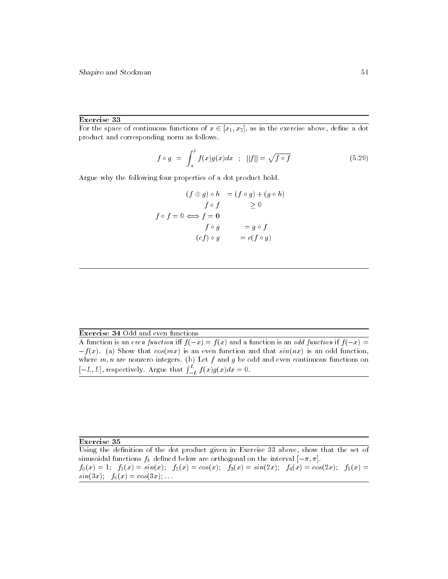### Exercise 33

For the space of continuous functions of  $x \in [x_1, x_2]$ , as in the exercise above, define a dot product and corresponding norm as follows.

$$
f \circ g = \int_{a}^{b} f(x)g(x)dx \quad ; \quad ||f|| = \sqrt{f \circ f} \tag{5.29}
$$

Argue why the following four properties of a dot product hold.

$$
(f \oplus g) \circ h = (f \circ g) + (g \circ h)
$$
  

$$
f \circ f \ge 0
$$
  

$$
f \circ f = 0 \Longleftrightarrow f = 0
$$
  

$$
f \circ g = g \circ f
$$
  

$$
(cf) \circ g = c(f \circ g)
$$

Exercise 34 Odd and even functions

A function is an even function iff  $f(-x) = f(x)$  and a function is an odd function if  $f(-x) = f(x)$  $-f(x)$ . (a) Show that  $cos(mx)$  is an even function and that  $sin(nx)$  is an odd function, where  $m,n$  are nonzero integers. (b) Let  $f$  and  $g$  be odd and even continuous functions on  $[-L, L]$ , respectively. Argue that  $\int_{-L}^{L} f(x)g(x)dx = 0$ .

### Exercise 35

Using the definition of the dot product given in Exercise 33 above, show that the set of sinusoidal functions  $f_k$  defined below are orthogonal on the interval  $[-\pi, \pi]$ .  $f_0(x) = 1$ ;  $f_1(x) = \sin(x)$ ;  $f_2(x) = \cos(x)$ ;  $f_3(x) = \sin(2x)$ ;  $f_4(x) = \cos(2x)$ ;  $f_5(x) =$  $sin(3x); f_6(x) = cos(3x); ...$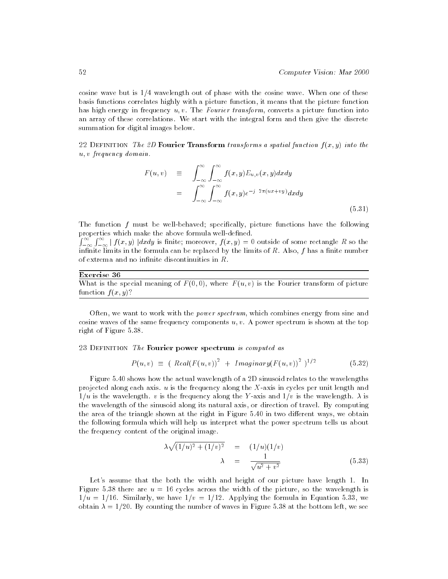cosine wave but is 1/4 wavelength out of phase with the cosine wave. When one of these basis functions correlates highly with a picture function, it means that the picture function has high energy in frequency u, v. The Fourier transform, converts a picture function into an array of these correlations. We start with the integral form and then give the discrete summation for digital images below.

22 DEFINITION The 2D Fourier Transform transforms a spatial function  $f(x, y)$  into the u; v frequency domain.

$$
F(u, v) \equiv \int_{-\infty}^{\infty} \int_{-\infty}^{\infty} f(x, y) E_{u, v}(x, y) dx dy
$$
  

$$
= \int_{-\infty}^{\infty} \int_{-\infty}^{\infty} f(x, y) e^{-j 2\pi (ux + vy)} dx dy
$$
(5.31)

The function  $f$  must be well-behaved; specifically, picture functions have the following properties which make the above formula well-defined.

 $\int_{-\infty}^{\infty}\int_{-\infty}^{\infty}\mid f(x,y)\mid dx dy$  is finite; moreover,  $f(x,y)=0$  outside of some rectangle R so the infinite limits in the formula can be replaced by the limits of  $R$ . Also,  $f$  has a finite number of extrema and no infinite discontinuities in  $R$ .

### Exercise 36

What is the special meaning of  $F(0,0)$ , where  $F(u, v)$  is the Fourier transform of picture function  $f(x, y)$ ?

Often, we want to work with the *power spectrum*, which combines energy from sine and cosine waves of the same frequency components  $u, v$ . A power spectrum is shown at the top right of Figure 5.38.

### 23 DEFINITION The Fourier power spectrum is computed as

$$
P(u, v) \equiv (Real(F(u, v))^{2} + Imaginary(F(u, v))^{2})^{1/2}
$$
 (5.32)

Figure 5.40 shows how the actual wavelength of a 2D sinusoid relates to the wavelengths projected along each axis.  $u$  is the frequency along the X-axis in cycles per unit length and  $1/u$  is the wavelength. v is the frequency along the Y-axis and  $1/v$  is the wavelength.  $\lambda$  is the wavelength of the sinusoid along its natural axis, or direction of travel. By computing the area of the triangle shown at the right in Figure 5.40 in two different ways, we obtain the following formula which will help us interpret what the power spectrum tells us about the frequency content of the original image.

$$
\lambda \sqrt{(1/u)^2 + (1/v)^2} = (1/u)(1/v) \n\lambda = \frac{1}{\sqrt{u^2 + v^2}}
$$
\n(5.33)

Let's assume that the both the width and height of our picture have length 1. In Figure 5.38 there are  $u = 16$  cycles across the width of the picture, so the wavelength is  $1/u = 1/16$ . Similarly, we have  $1/v = 1/12$ . Applying the formula in Equation 5.33, we obtain  $\lambda = 1/20$ . By counting the number of waves in Figure 5.38 at the bottom left, we see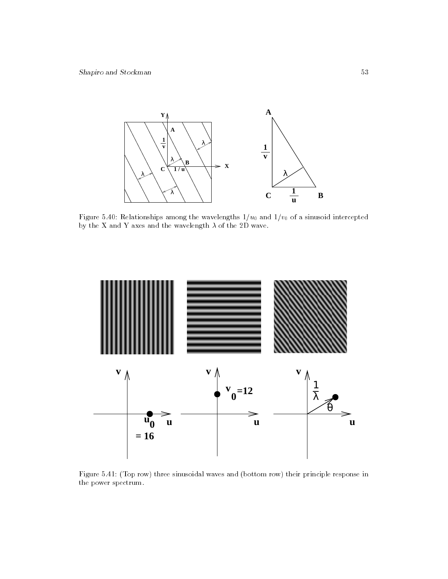

Figure 5.40: Relationships among the wavelengths  $1/u_0$  and  $1/v_0$  of a sinusoid intercepted by the X and Y axes and the wavelength  $\lambda$  of the 2D wave.



Figure 5.41: (Top row) three sinusoidal waves and (bottom row) their principle response in the power spectrum.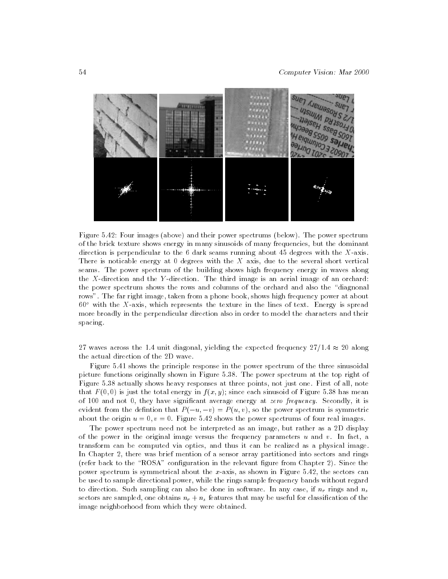

Figure 5.42: Four images (above) and their power spectrums (below). The power spectrum of the brick texture shows energy in many sinusoids of many frequencies, but the dominant direction is perpendicular to the  $6$  dark seams running about 45 degrees with the X-axis. There is noticable energy at  $0$  degrees with the  $X$  axis, due to the several short vertical seams. The power spectrum of the building shows high frequency energy in waves along the X-direction and the <sup>Y</sup> -direction. The third image is an aerial image of an orchard: the power spectrum shows the rows and columns of the orchard and also the \diagnonal rows". The far right image, taken from a phone book, shows high frequency power at about  $60^{\circ}$  with the X-axis, which represents the texture in the lines of text. Energy is spread more broadly in the perpendicular direction also in order to model the characters and their spacing.

27 waves across the 1.4 unit diagonal, yielding the expected frequency  $27/1.4 \approx 20$  along the actual direction of the 2D wave.

Figure 5.41 shows the principle response in the power spectrum of the three sinusoidal picture functions originally shown in Figure 5.38. The power spectrum at the top right of Figure 5.38 actually shows heavy responses at three points, not just one. First of all, note that  $F(0,0)$  is just the total energy in  $f(x, y)$ ; since each sinusoid of Figure 5.38 has mean of 100 and not 0, they have signicant average energy at zero frequency. Secondly, it is evident from the defintion that  $P(-u, -v) = P(u, v)$ , so the power spectrum is symmetric about the origin  $u = 0, v = 0$ . Figure 5.42 shows the power spectrums of four real images.

The power spectrum need not be interpreted as an image, but rather as a 2D display of the power in the original image versus the frequency parameters  $u$  and  $v$ . In fact, a transform can be computed via optics, and thus it can be realized as a physical image. In Chapter 2, there was brief mention of a sensor array partitioned into sectors and rings (refer back to the "ROSA" configuration in the relevant figure from Chapter 2). Since the power spectrum is symmetrical about the  $x$ -axis, as shown in Figure 5.42, the sectors can be used to sample directional power, while the rings sample frequency bands without regard to direction. Such sampling can also be done in software. In any case, if  $n_r$  rings and  $n_s$ sectors are sampled, one obtains  $n_r + n_s$  features that may be useful for classification of the image neighborhood from which they were obtained.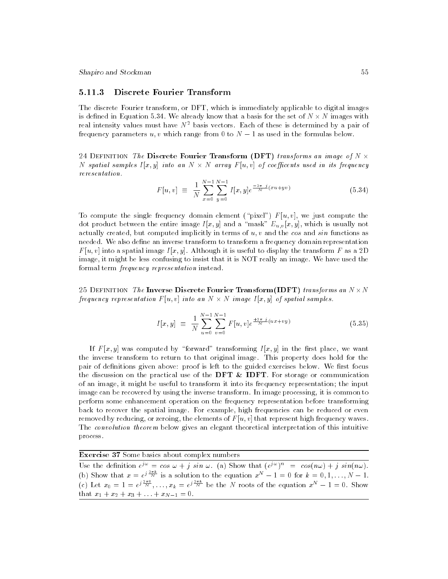Shapiro and Stockman 55

### 5.11.3 Discrete Fourier Transform

The discrete Fourier transform, or DFT, which is immediately applicable to digital images is demiculing in Equation 5.34. We already throw that a basis for the set of  $\alpha$  in  $\alpha$  -  $\alpha$ real intensity values must have  $N^2$  basis vectors. Each of these is determined by a pair of frequency parameters  $u, v$  which range from 0 to  $N - 1$  as used in the formulas below.

24 DEFINITION The Discrete Fourier Transform (DFT) transforms an image of  $N \times$ Iv spatial samples  $I[x,y]$  theo an IV  $\wedge$  IV array  $I$   $[u,v]$  of coefficents used in its frequency reresentation.

$$
F[u, v] \equiv \frac{1}{N} \sum_{x=0}^{N-1} \sum_{y=0}^{N-1} I[x, y] e^{\frac{-2\pi}{N} j(xu + yv)} \tag{5.34}
$$

To compute the single frequency domain element ("pixel")  $F [u, v]$ , we just compute the dot product between the entire image  $I[x, y]$  and a "mask"  $E_{u, v}[x, y]$ , which is usually not actually created, but computed implicitly in terms of  $u, v$  and the cos and sin functions as needed. We also define an inverse transform to transform a frequency domain representation  $F$  [u, v] into a spatial image  $I[x, y]$ . Although it is useful to display the transform F as a 2D image, it might be less confusing to insist that it is NOT really an image. We have used the formal term frequency representation instead.

 $\sim$  Definition The Inverse Discrete Fourier Transform (IDFT) transforms while  $N$  frequency representation  $F$   $[a, v]$  into an  $N \times N$  image  $F[x, y]$  of spatial samples.

$$
I[x, y] \equiv \frac{1}{N} \sum_{u=0}^{N-1} \sum_{v=0}^{N-1} F[u, v] e^{\frac{+2\pi}{N} (ux + vy)}
$$
(5.35)

If  $F[x, y]$  was computed by "forward" transforming  $I[x, y]$  in the first place, we want the inverse transform to return to that original image. This property does hold for the pair of definitions given above: proof is left to the guided exercises below. We first focus the discussion on the practical use of the **DFT** & **IDFT**. For storage or communication of an image, it might be useful to transform it into its frequency representation; the input image can be recovered by using the inverse transform. In image processing, it is common to perform some enhancement operation on the frequency representation before transforming back to recover the spatial image. For example, high frequencies can be reduced or even removed by reducing, or zeroing, the elements of  $F[u, v]$  that represent high frequency waves. The convolution theorem below gives an elegant theoretical interpretation of this intuitive process.

Exercise 37 Some basics about complex numbers

Use the definition  $e^z = \cos \omega + j \sin \omega$ . (a) Show that  $(e^z)^{-1} = \cos(n\omega) + j \sin(n\omega)$ . (b) Show that  $x = e^{j\pi x}$  is a solution to the equation  $x^N - 1 = 0$  for  $k = 0, 1, \ldots, N - 1$ . (c) Let  $x_0 = 1 = e^{\int \frac{x}{N}} \dots x_k = e^{\int \frac{x}{N}}$  be the N roots of the equation  $x^N - 1 = 0$ . Show that  $x_1 + x_2 + x_3 + \ldots + x_{N-1} = 0$ .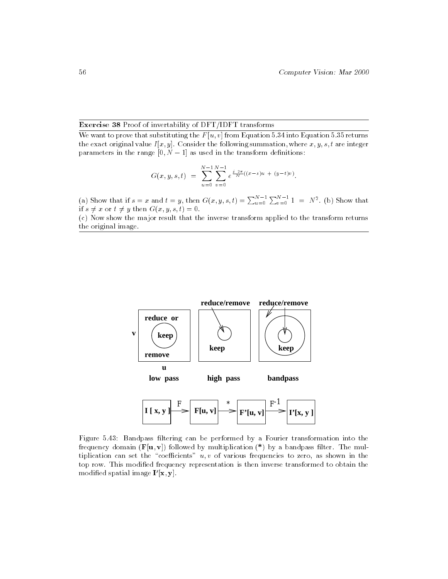### Exercise 38 Proof of invertability of DFT/IDFT transforms

We want to prove that substituting the  $F[u, v]$  from Equation 5.34 into Equation 5.35 returns the exact original value  $I[x, y]$ . Consider the following summation, where  $x, y, s, t$  are integer parameters in the range  $[0, N - 1]$  as used in the transform definitions:

$$
G(x, y, s, t) = \sum_{u=0}^{N-1} \sum_{v=0}^{N-1} e^{\frac{j \cdot 2\pi}{N}((x-s)u + (y-t)v)}.
$$

(a) Show that if  $s = x$  and  $t = y$ , then  $G(x, y, s, t) = \sum_{u=0}^{N-1} \sum_{v=0}^{N-1} 1 = N^2$ . (b) Show that if  $s \neq x$  or  $t \neq y$  then  $G(x, y, s, t) = 0$ .

(c) Now show the major result that the inverse transform applied to the transform returns the original image.



Figure 5.43: Bandpass filtering can be performed by a Fourier transformation into the frequency domain  $(F[u, v])$  followed by multiplication  $(*)$  by a bandpass filter. The multiplication can set the "coefficients"  $u, v$  of various frequencies to zero, as shown in the top row. This modied frequency representation is then inverse transformed to obtain the modified spatial linage **1** [**x**, **y**].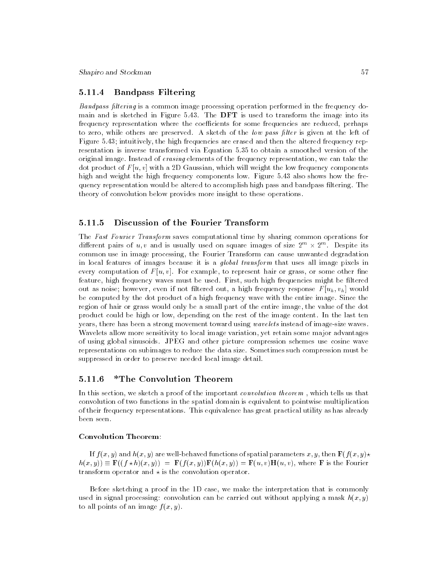### 5.11.4 Bandpass Filtering

Bandpass filtering is a common image processing operation performed in the frequency domain and is sketched in Figure 5.43. The DFT is used to transform the image into its frequency representation where the coefficients for some frequencies are reduced, perhaps to zero, while others are preserved. A sketch of the low pass filter is given at the left of Figure 5.43; intuitively, the high frequencies are erased and then the altered frequency representation is inverse transformed via Equation 5.35 to obtain a smoothed version of the original image. Instead of erasing elements of the frequency representation, we can take the dot product of  $F[u, v]$  with a 2D Gaussian, which will weight the low frequency components high and weight the high frequency components low. Figure 5.43 also shows how the frequency representation would be altered to accomplish high pass and bandpass ltering. The theory of convolution below provides more insight to these operations.

#### Discussion of the Fourier Transform 5.11.5

The Fast Fourier Transform saves computational time by sharing common operations for different pairs of  $u, v$  and is usually used on square images of size  $2^{m} \times 2^{m}$ . Despite its common use in image processing, the Fourier Transform can cause unwanted degradation in local features of images because it is a global transform that uses all image pixels in every computation of  $F[u, v]$ . For example, to represent hair or grass, or some other fine feature, high frequency waves must be used. First, such high frequencies might be filtered out as noise; however, even if not filtered out, a high frequency response  $F[u_h, v_h]$  would be computed by the dot product of a high frequency wave with the entire image. Since the region of hair or grass would only be a small part of the entire image, the value of the dot product could be high or low, depending on the rest of the image content. In the last ten years, there has been a strong movement toward using wavelets instead of image-size waves. Wavelets allow more sensitivity to local image variation, yet retain some major advantages of using global sinusoids. JPEG and other picture compression schemes use cosine wave representations on subimages to reduce the data size. Sometimes such compression must be suppressed in order to preserve needed local image detail.

#### 5.11.6 \*The Convolution Theorem

In this section, we sketch a proof of the important *convolution theorem*, which tells us that convolution of two functions in the spatial domain is equivalent to pointwise multiplication of their frequency representations. This equivalence has great practical utility as has already been seen.

### Convolution Theorem:

If  $f(x, y)$  and  $h(x, y)$  are well-behaved functions of spatial parameters x, y, then  $\mathbf{F}(f(x, y))$  $h(x, y)$   $\equiv$  F((f  $x$   $h$ )(x, y))  $\equiv$  F(f(x, y))F( $h(x, y)$ )  $\equiv$  F(u, v)H(u, v), where F is the Fourier transform operator and  $\star$  is the convolution operator.

Before sketching a proof in the 1D case, we make the interpretation that is commonly used in signal processing: convolution can be carried out without applying a mask  $h(x, y)$ to all points of an image  $f(x, y)$ .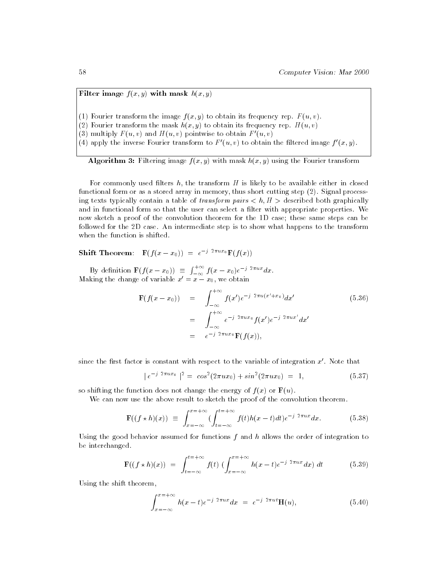Filter image  $f(x, y)$  with mask  $h(x, y)$ 

(1) Fourier transform the image  $f(x, y)$  to obtain its frequency rep.  $F(u, v)$ .

(2) Fourier transform the mask  $h(x, y)$  to obtain its frequency rep.  $H(u, v)$ 

(3) multiply  $F(u, v)$  and  $H(u, v)$  pointwise to obtain  $F'(u, v)$ 

(4) apply the inverse Fourier transform to  $F'(u, v)$  to obtain the filtered image  $f'(x, y)$ .

Algorithm 3: Filtering image  $f(x, y)$  with mask  $h(x, y)$  using the Fourier transform

For commonly used filters h, the transform  $H$  is likely to be available either in closed functional form or as a stored array in memory, thus short cutting step (2). Signal processing texts typically contain a table of transform pairs  $\langle h, H \rangle$  described both graphically and in functional form so that the user can select a filter with appropriate properties. We now sketch a proof of the convolution theorem for the 1D case; these same steps can be followed for the 2D case. An intermediate step is to show what happens to the transform when the function is shifted.

Shift Theorem:  $\mathbf{F}(f(x-x_0)) = e^{-j/2\pi ux_0}\mathbf{F}(f(x))$ 

By definition  $\mathbf{F}(f(x-x_0)) \equiv \int_{-\infty}^{+\infty} f(x-x_0)e^{-j2\pi ux}dx$ . Making the change of variable  $x_0 = x - x_0$ , we obtain

$$
\mathbf{F}(f(x-x_0)) = \int_{-\infty}^{+\infty} f(x')e^{-j2\pi u(x'+x_0)}dx'
$$
\n
$$
= \int_{-\infty}^{+\infty} e^{-j2\pi ux_0}f(x')e^{-j2\pi ux'}dx'
$$
\n
$$
= e^{-j2\pi ux_0}\mathbf{F}(f(x)),
$$
\n(5.36)

since the first factor is constant with respect to the variable of integration  $x'$ . Note that

$$
|e^{-j 2\pi ux_0}|^2 = \cos^2(2\pi ux_0) + \sin^2(2\pi ux_0) = 1,
$$
\n(5.37)

so shifting the function does not change the energy of  $f(x)$  or  $\mathbf{F}(u)$ .

We can now use the above result to sketch the proof of the convolution theorem.

$$
\mathbf{F}((f \star h)(x)) \equiv \int_{x=-\infty}^{x=+\infty} \left( \int_{t=-\infty}^{t=+\infty} f(t)h(x-t)dt \right) e^{-j2\pi ux} dx. \tag{5.38}
$$

Using the good behavior assumed for functions  $f$  and  $h$  allows the order of integration to be interchanged.

$$
\mathbf{F}((f \star h)(x)) = \int_{t=-\infty}^{t=+\infty} f(t) \left( \int_{x=-\infty}^{x=+\infty} h(x-t) e^{-j 2\pi ux} dx \right) dt \tag{5.39}
$$

Using the shift theorem,

$$
\int_{x=-\infty}^{x=+\infty} h(x-t)e^{-j2\pi ux}dx = e^{-j2\pi ut} \mathbf{H}(u),
$$
\n(5.40)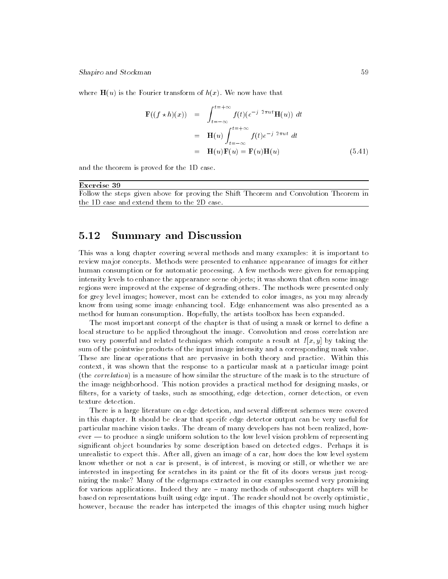Shapiro and Stockman 59

where  $\mathbf{H}(u)$  is the Fourier transform of  $h(x)$ . We now have that

$$
\mathbf{F}((f \star h)(x)) = \int_{t=-\infty}^{t=+\infty} f(t)(e^{-j2\pi ut}\mathbf{H}(u)) dt
$$
  
\n
$$
= \mathbf{H}(u) \int_{t=-\infty}^{t=+\infty} f(t)e^{-j2\pi ut} dt
$$
  
\n
$$
= \mathbf{H}(u)\mathbf{F}(u) = \mathbf{F}(u)\mathbf{H}(u) \qquad (5.41)
$$

and the theorem is proved for the 1D case.

Exercise 39 Follow the steps given above for proving the Shift Theorem and Convolution Theorem in the 1D case and extend them to the 2D case.

#### 5.12 **Summary and Discussion**

This was a long chapter covering several methods and many examples: it is important to review major concepts. Methods were presented to enhance appearance of images for either human consumption or for automatic processing. A few methods were given for remapping intensity levels to enhance the appearance scene objects; it was shown that often some image regions were improved at the expense of degrading others. The methods were presented only for grey level images; however, most can be extended to color images, as you may already know from using some image enhancing tool. Edge enhancement was also presented as a method for human consumption. Hopefully, the artists toolbox has been expanded.

The most important concept of the chapter is that of using a mask or kernel to define a local structure to be applied throughout the image. Convolution and cross correlation are two very powerful and related techniques which compute a result at  $I[x, y]$  by taking the sum of the pointwise products of the input image intensity and a corresponding mask value. These are linear operations that are pervasive in both theory and practice. Within this context, it was shown that the response to a particular mask at a particular image point (the correlation) is a measure of how similar the structure of the mask is to the structure of the image neighborhood. This notion provides a practical method for designing masks, or filters, for a variety of tasks, such as smoothing, edge detection, corner detection, or even texture detection.

There is a large literature on edge detection, and several different schemes were covered in this chapter. It should be clear that specifc edge detector output can be very useful for particular machine vision tasks. The dream of many developers has not been realized, however — to produce a single uniform solution to the low level vision problem of representing signicant object boundaries by some description based on detected edges. Perhaps it is unrealistic to expect this. After all, given an image of a car, how does the low level system know whether or not a car is present, is of interest, is moving or still, or whether we are interested in inspecting for scratches in its paint or the fit of its doors versus just recognizing the make? Many of the edgemaps extracted in our examples seemed very promising for various applications. Indeed they are  $-$  many methods of subsequent chapters will be based on representations built using edge input. The reader should not be overly optimistic, however, because the reader has interpeted the images of this chapter using much higher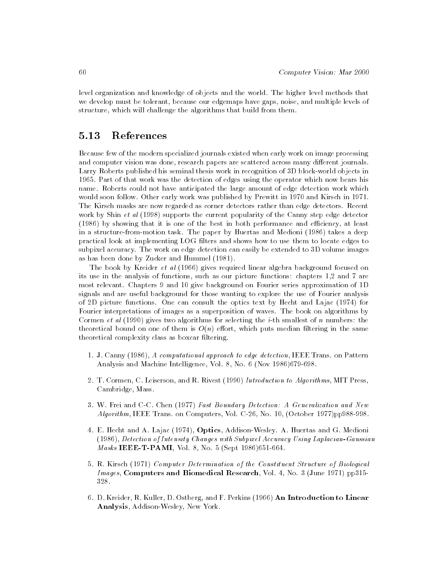level organization and knowledge of objects and the world. The higher level methods that we develop must be tolerant, because our edgemaps have gaps, noise, and multiple levels of structure, which will challenge the algorithms that build from them.

# 5.13 References

Because few of the modern specialized journals existed when early work on image processing and computer vision was done, research papers are scattered across many different journals. Larry Roberts published his seminal thesis work in recognition of 3D block-world objects in 1965. Part of that work was the detection of edges using the operator which now bears his name. Roberts could not have anticipated the large amount of edge detection work which would soon follow. Other early work was published by Prewitt in 1970 and Kirsch in 1971. The Kirsch masks are now regarded as corner detectors rather than edge detectors. Recent work by Shin et al (1998) supports the current popularity of the Canny step edge detector  $(1986)$  by showing that it is one of the best in both performance and efficiency, at least in a structure-from-motion task. The paper by Huertas and Medioni (1986) takes a deep practical look at implementing LOG filters and shows how to use them to locate edges to subpixel accuracy. The work on edge detection can easily be extended to 3D volume images as has been done by Zucker and Hummel (1981).

The book by Kreider et al (1966) gives required linear algebra background focused on its use in the analysis of functions, such as our picture functions: chapters 1,2 and 7 are most relevant. Chapters 9 and 10 give background on Fourier series approximation of 1D signals and are useful background for those wanting to explore the use of Fourier analysis of 2D picture functions. One can consult the optics text by Hecht and Lajac (1974) for Fourier interpretations of images as a superposition of waves. The book on algorithms by Cormen et al  $(1990)$  gives two algorithms for selecting the *i*-th smallest of *n* numbers: the theoretical bound on one of them is  $O(n)$  effort, which puts median filtering in the same theoretical complexity class as boxcar ltering.

- 1. J. Canny (1986), A computational approach to edge detection, IEEE Trans. on Pattern Analysis and Machine Intelligence, Vol. 8, No. 6 (Nov 1986)679-698.
- 2. T. Cormen, C. Leiserson, and R. Rivest (1990) Introduction to Algorithms, MIT Press, Cambridge, Mass.
- 3. W. Frei and C-C. Chen (1977) Fast Boundary Detection: A Generalization and New Algorithm, IEEE Trans. on Computers, Vol. C-26, No. 10, (October 1977)pp988-998.
- 4. E. Hecht and A. Lajac (1974), Optics, Addison-Wesley. A. Huertas and G. Medioni (1986), Detection of Intensity Changes with Subpixel Accuracy Using Laplacian-Gaussian Masks IEEE-T-PAMI, Vol. 8, No. 5 (Sept 1986)651-664.
- 5. R. Kirsch (1971) Computer Determination of the Constituent Structure of Biological Images, Computers and Biomedical Research, Vol. 4, No. 3 (June 1971) pp315- 328.
- 6. D. Kreider, R. Kuller, D. Ostberg, and F. Perkins (1966) An Introduction to Linear Analysis, Addison-Wesley, New York.